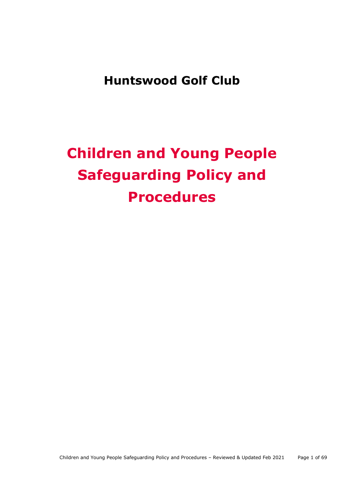## **Huntswood Golf Club**

# **Children and Young People Safeguarding Policy and Procedures**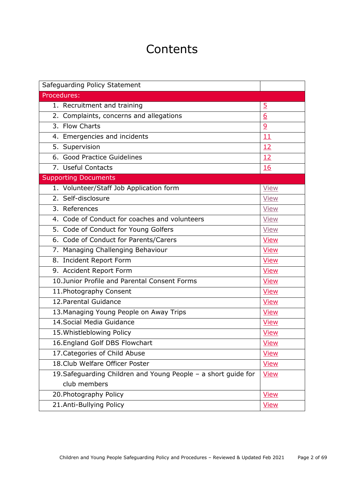## **Contents**

| Safeguarding Policy Statement                                  |                |
|----------------------------------------------------------------|----------------|
| Procedures:                                                    |                |
| 1. Recruitment and training                                    | $\overline{5}$ |
| 2. Complaints, concerns and allegations                        | 6              |
| 3. Flow Charts                                                 | 9              |
| 4. Emergencies and incidents                                   | 11             |
| 5. Supervision                                                 | 12             |
| 6. Good Practice Guidelines                                    | 12             |
| 7. Useful Contacts                                             | 16             |
| <b>Supporting Documents</b>                                    |                |
| 1. Volunteer/Staff Job Application form                        | <b>View</b>    |
| 2. Self-disclosure                                             | <b>View</b>    |
| 3. References                                                  | <b>View</b>    |
| 4. Code of Conduct for coaches and volunteers                  | <b>View</b>    |
| 5. Code of Conduct for Young Golfers                           | <b>View</b>    |
| 6. Code of Conduct for Parents/Carers                          | <b>View</b>    |
| 7. Managing Challenging Behaviour                              | <b>View</b>    |
| 8. Incident Report Form                                        | <b>View</b>    |
| 9. Accident Report Form                                        | <b>View</b>    |
| 10. Junior Profile and Parental Consent Forms                  | <b>View</b>    |
| 11. Photography Consent                                        | <b>View</b>    |
| 12. Parental Guidance                                          | <b>View</b>    |
| 13. Managing Young People on Away Trips                        | <b>View</b>    |
| 14. Social Media Guidance                                      | <b>View</b>    |
| 15. Whistleblowing Policy                                      | <b>View</b>    |
| 16. England Golf DBS Flowchart                                 | <b>View</b>    |
| 17. Categories of Child Abuse                                  | <b>View</b>    |
| 18. Club Welfare Officer Poster                                | <b>View</b>    |
| 19. Safeguarding Children and Young People - a short guide for | <b>View</b>    |
| club members                                                   |                |
| 20. Photography Policy                                         | <b>View</b>    |
| 21.Anti-Bullying Policy                                        | <u>View</u>    |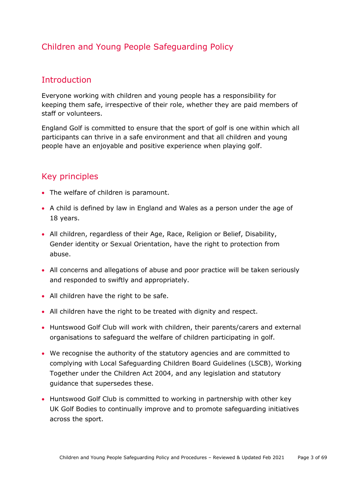### Children and Young People Safeguarding Policy

### Introduction

Everyone working with children and young people has a responsibility for keeping them safe, irrespective of their role, whether they are paid members of staff or volunteers.

England Golf is committed to ensure that the sport of golf is one within which all participants can thrive in a safe environment and that all children and young people have an enjoyable and positive experience when playing golf.

### Key principles

- The welfare of children is paramount.
- A child is defined by law in England and Wales as a person under the age of 18 years.
- All children, regardless of their Age, Race, Religion or Belief, Disability, Gender identity or Sexual Orientation, have the right to protection from abuse.
- All concerns and allegations of abuse and poor practice will be taken seriously and responded to swiftly and appropriately.
- All children have the right to be safe.
- All children have the right to be treated with dignity and respect.
- Huntswood Golf Club will work with children, their parents/carers and external organisations to safeguard the welfare of children participating in golf.
- We recognise the authority of the statutory agencies and are committed to complying with Local Safeguarding Children Board Guidelines (LSCB), Working Together under the Children Act 2004, and any legislation and statutory guidance that supersedes these.
- Huntswood Golf Club is committed to working in partnership with other key UK Golf Bodies to continually improve and to promote safeguarding initiatives across the sport.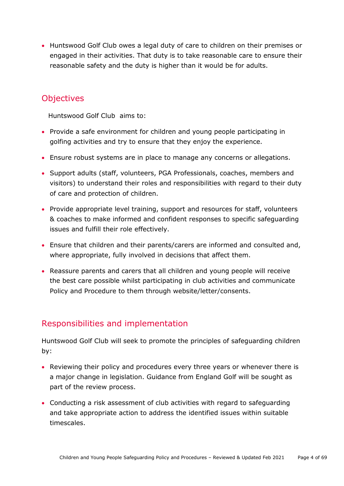• Huntswood Golf Club owes a legal duty of care to children on their premises or engaged in their activities. That duty is to take reasonable care to ensure their reasonable safety and the duty is higher than it would be for adults.

### **Objectives**

Huntswood Golf Club aims to:

- Provide a safe environment for children and young people participating in golfing activities and try to ensure that they enjoy the experience.
- Ensure robust systems are in place to manage any concerns or allegations.
- Support adults (staff, volunteers, PGA Professionals, coaches, members and visitors) to understand their roles and responsibilities with regard to their duty of care and protection of children.
- Provide appropriate level training, support and resources for staff, volunteers & coaches to make informed and confident responses to specific safeguarding issues and fulfill their role effectively.
- Ensure that children and their parents/carers are informed and consulted and, where appropriate, fully involved in decisions that affect them.
- Reassure parents and carers that all children and young people will receive the best care possible whilst participating in club activities and communicate Policy and Procedure to them through website/letter/consents.

### Responsibilities and implementation

Huntswood Golf Club will seek to promote the principles of safeguarding children by:

- Reviewing their policy and procedures every three years or whenever there is a major change in legislation. Guidance from England Golf will be sought as part of the review process.
- Conducting a risk assessment of club activities with regard to safeguarding and take appropriate action to address the identified issues within suitable timescales.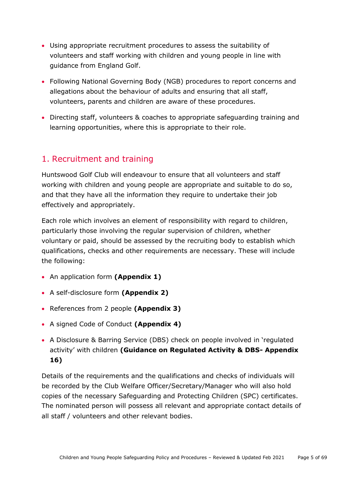- Using appropriate recruitment procedures to assess the suitability of volunteers and staff working with children and young people in line with guidance from England Golf.
- Following National Governing Body (NGB) procedures to report concerns and allegations about the behaviour of adults and ensuring that all staff, volunteers, parents and children are aware of these procedures.
- Directing staff, volunteers & coaches to appropriate safeguarding training and learning opportunities, where this is appropriate to their role.

### <span id="page-4-0"></span>1. Recruitment and training

Huntswood Golf Club will endeavour to ensure that all volunteers and staff working with children and young people are appropriate and suitable to do so, and that they have all the information they require to undertake their job effectively and appropriately.

Each role which involves an element of responsibility with regard to children, particularly those involving the regular supervision of children, whether voluntary or paid, should be assessed by the recruiting body to establish which qualifications, checks and other requirements are necessary. These will include the following:

- An application form **(Appendix 1)**
- A self-disclosure form **(Appendix 2)**
- References from 2 people **(Appendix 3)**
- A signed Code of Conduct **(Appendix 4)**
- A Disclosure & Barring Service (DBS) check on people involved in 'regulated activity' with children **(Guidance on Regulated Activity & DBS- Appendix 16)**

Details of the requirements and the qualifications and checks of individuals will be recorded by the Club Welfare Officer/Secretary/Manager who will also hold copies of the necessary Safeguarding and Protecting Children (SPC) certificates. The nominated person will possess all relevant and appropriate contact details of all staff / volunteers and other relevant bodies.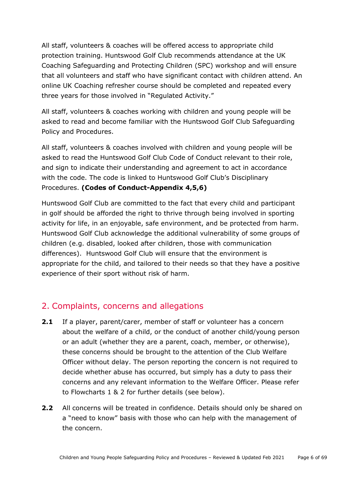All staff, volunteers & coaches will be offered access to appropriate child protection training. Huntswood Golf Club recommends attendance at the UK Coaching Safeguarding and Protecting Children (SPC) workshop and will ensure that all volunteers and staff who have significant contact with children attend. An online UK Coaching refresher course should be completed and repeated every three years for those involved in "Regulated Activity."

All staff, volunteers & coaches working with children and young people will be asked to read and become familiar with the Huntswood Golf Club Safeguarding Policy and Procedures.

All staff, volunteers & coaches involved with children and young people will be asked to read the Huntswood Golf Club Code of Conduct relevant to their role, and sign to indicate their understanding and agreement to act in accordance with the code. The code is linked to Huntswood Golf Club's Disciplinary Procedures. **(Codes of Conduct-Appendix 4,5,6)**

Huntswood Golf Club are committed to the fact that every child and participant in golf should be afforded the right to thrive through being involved in sporting activity for life, in an enjoyable, safe environment, and be protected from harm. Huntswood Golf Club acknowledge the additional vulnerability of some groups of children (e.g. disabled, looked after children, those with communication differences). Huntswood Golf Club will ensure that the environment is appropriate for the child, and tailored to their needs so that they have a positive experience of their sport without risk of harm.

### <span id="page-5-0"></span>2. Complaints, concerns and allegations

- **2.1** If a player, parent/carer, member of staff or volunteer has a concern about the welfare of a child, or the conduct of another child/young person or an adult (whether they are a parent, coach, member, or otherwise), these concerns should be brought to the attention of the Club Welfare Officer without delay. The person reporting the concern is not required to decide whether abuse has occurred, but simply has a duty to pass their concerns and any relevant information to the Welfare Officer. Please refer to Flowcharts 1 & 2 for further details (see below).
- **2.2** All concerns will be treated in confidence. Details should only be shared on a "need to know" basis with those who can help with the management of the concern.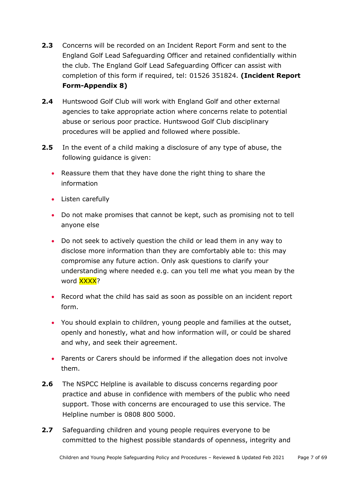- **2.3** Concerns will be recorded on an Incident Report Form and sent to the England Golf Lead Safeguarding Officer and retained confidentially within the club. The England Golf Lead Safeguarding Officer can assist with completion of this form if required, tel: 01526 351824. **(Incident Report Form-Appendix 8)**
- **2.4** Huntswood Golf Club will work with England Golf and other external agencies to take appropriate action where concerns relate to potential abuse or serious poor practice. Huntswood Golf Club disciplinary procedures will be applied and followed where possible.
- **2.5** In the event of a child making a disclosure of any type of abuse, the following guidance is given:
	- Reassure them that they have done the right thing to share the information
	- Listen carefully
	- Do not make promises that cannot be kept, such as promising not to tell anyone else
	- Do not seek to actively question the child or lead them in any way to disclose more information than they are comfortably able to: this may compromise any future action. Only ask questions to clarify your understanding where needed e.g. can you tell me what you mean by the word XXXX?
	- Record what the child has said as soon as possible on an incident report form.
	- You should explain to children, young people and families at the outset, openly and honestly, what and how information will, or could be shared and why, and seek their agreement.
	- Parents or Carers should be informed if the allegation does not involve them.
- **2.6** The NSPCC Helpline is available to discuss concerns regarding poor practice and abuse in confidence with members of the public who need support. Those with concerns are encouraged to use this service. The Helpline number is 0808 800 5000.
- **2.7** Safeguarding children and young people requires everyone to be committed to the highest possible standards of openness, integrity and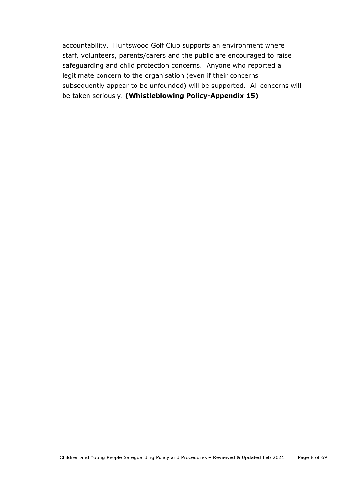accountability. Huntswood Golf Club supports an environment where staff, volunteers, parents/carers and the public are encouraged to raise safeguarding and child protection concerns. Anyone who reported a legitimate concern to the organisation (even if their concerns subsequently appear to be unfounded) will be supported. All concerns will be taken seriously. **(Whistleblowing Policy-Appendix 15)**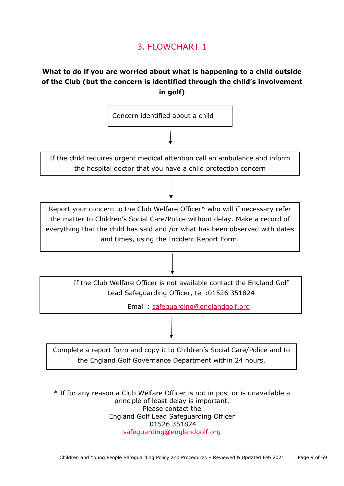### 3. FLOWCHART 1

### <span id="page-8-0"></span>**What to do if you are worried about what is happening to a child outside of the Club (but the concern is identified through the child's involvement in golf)**



\* If for any reason a Club Welfare Officer is not in post or is unavailable a principle of least delay is important. Please contact the England Golf Lead Safeguarding Officer 01526 351824 [safeguarding@englandgolf.org](mailto:safeguarding@englandgolf.org)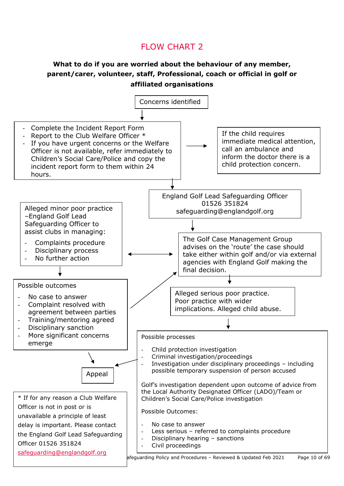### FLOW CHART 2

### **What to do if you are worried about the behaviour of any member, parent/carer, volunteer, staff, Professional, coach or official in golf or affiliated organisations**

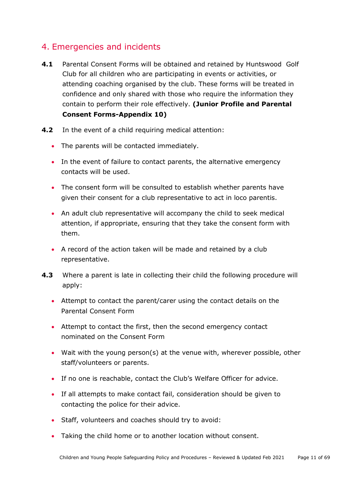### <span id="page-10-0"></span>4. Emergencies and incidents

- **4.1** Parental Consent Forms will be obtained and retained by Huntswood Golf Club for all children who are participating in events or activities, or attending coaching organised by the club. These forms will be treated in confidence and only shared with those who require the information they contain to perform their role effectively. **(Junior Profile and Parental Consent Forms-Appendix 10)**
- **4.2** In the event of a child requiring medical attention:
	- The parents will be contacted immediately.
	- In the event of failure to contact parents, the alternative emergency contacts will be used.
	- The consent form will be consulted to establish whether parents have given their consent for a club representative to act in loco parentis.
	- An adult club representative will accompany the child to seek medical attention, if appropriate, ensuring that they take the consent form with them.
	- A record of the action taken will be made and retained by a club representative.
- **4.3** Where a parent is late in collecting their child the following procedure will apply:
	- Attempt to contact the parent/carer using the contact details on the Parental Consent Form
	- Attempt to contact the first, then the second emergency contact nominated on the Consent Form
	- Wait with the young person(s) at the venue with, wherever possible, other staff/volunteers or parents.
	- If no one is reachable, contact the Club's Welfare Officer for advice.
	- If all attempts to make contact fail, consideration should be given to contacting the police for their advice.
	- Staff, volunteers and coaches should try to avoid:
	- Taking the child home or to another location without consent.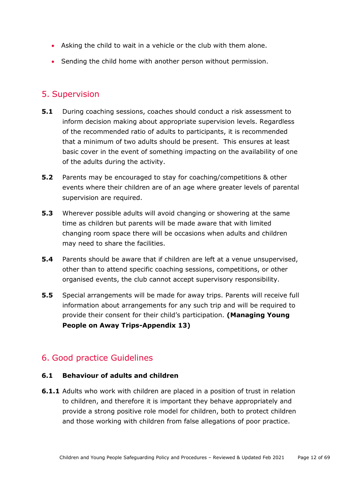- Asking the child to wait in a vehicle or the club with them alone.
- Sending the child home with another person without permission.

### <span id="page-11-0"></span>5. Supervision

- **5.1** During coaching sessions, coaches should conduct a risk assessment to inform decision making about appropriate supervision levels. Regardless of the recommended ratio of adults to participants, it is recommended that a minimum of two adults should be present. This ensures at least basic cover in the event of something impacting on the availability of one of the adults during the activity.
- **5.2** Parents may be encouraged to stay for coaching/competitions & other events where their children are of an age where greater levels of parental supervision are required.
- **5.3** Wherever possible adults will avoid changing or showering at the same time as children but parents will be made aware that with limited changing room space there will be occasions when adults and children may need to share the facilities.
- **5.4** Parents should be aware that if children are left at a venue unsupervised, other than to attend specific coaching sessions, competitions, or other organised events, the club cannot accept supervisory responsibility.
- **5.5** Special arrangements will be made for away trips. Parents will receive full information about arrangements for any such trip and will be required to provide their consent for their child's participation. **(Managing Young People on Away Trips-Appendix 13)**

### <span id="page-11-1"></span>6. Good practice Guidelines

#### **6.1 Behaviour of adults and children**

**6.1.1** Adults who work with children are placed in a position of trust in relation to children, and therefore it is important they behave appropriately and provide a strong positive role model for children, both to protect children and those working with children from false allegations of poor practice.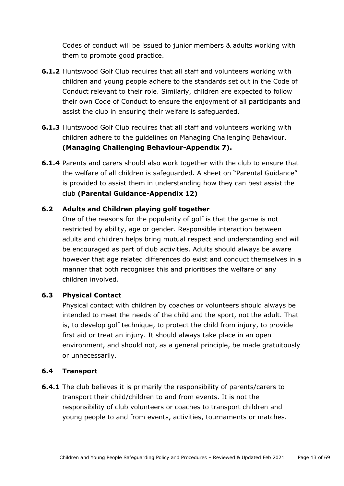Codes of conduct will be issued to junior members & adults working with them to promote good practice.

- **6.1.2** Huntswood Golf Club requires that all staff and volunteers working with children and young people adhere to the standards set out in the Code of Conduct relevant to their role. Similarly, children are expected to follow their own Code of Conduct to ensure the enjoyment of all participants and assist the club in ensuring their welfare is safeguarded.
- **6.1.3** Huntswood Golf Club requires that all staff and volunteers working with children adhere to the guidelines on Managing Challenging Behaviour. **(Managing Challenging Behaviour-Appendix 7).**
- **6.1.4** Parents and carers should also work together with the club to ensure that the welfare of all children is safeguarded. A sheet on "Parental Guidance" is provided to assist them in understanding how they can best assist the club **(Parental Guidance-Appendix 12)**

#### **6.2 Adults and Children playing golf together**

One of the reasons for the popularity of golf is that the game is not restricted by ability, age or gender. Responsible interaction between adults and children helps bring mutual respect and understanding and will be encouraged as part of club activities. Adults should always be aware however that age related differences do exist and conduct themselves in a manner that both recognises this and prioritises the welfare of any children involved.

#### **6.3 Physical Contact**

Physical contact with children by coaches or volunteers should always be intended to meet the needs of the child and the sport, not the adult. That is, to develop golf technique, to protect the child from injury, to provide first aid or treat an injury. It should always take place in an open environment, and should not, as a general principle, be made gratuitously or unnecessarily.

#### **6.4 Transport**

**6.4.1** The club believes it is primarily the responsibility of parents/carers to transport their child/children to and from events. It is not the responsibility of club volunteers or coaches to transport children and young people to and from events, activities, tournaments or matches.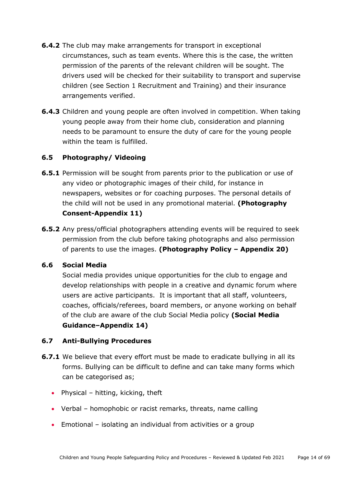- **6.4.2** The club may make arrangements for transport in exceptional circumstances, such as team events. Where this is the case, the written permission of the parents of the relevant children will be sought. The drivers used will be checked for their suitability to transport and supervise children (see Section 1 Recruitment and Training) and their insurance arrangements verified.
- **6.4.3** Children and young people are often involved in competition. When taking young people away from their home club, consideration and planning needs to be paramount to ensure the duty of care for the young people within the team is fulfilled.

#### **6.5 Photography/ Videoing**

- **6.5.1** Permission will be sought from parents prior to the publication or use of any video or photographic images of their child, for instance in newspapers, websites or for coaching purposes. The personal details of the child will not be used in any promotional material. **(Photography Consent-Appendix 11)**
- **6.5.2** Any press/official photographers attending events will be required to seek permission from the club before taking photographs and also permission of parents to use the images. **(Photography Policy – Appendix 20)**

#### **6.6 Social Media**

Social media provides unique opportunities for the club to engage and develop relationships with people in a creative and dynamic forum where users are active participants. It is important that all staff, volunteers, coaches, officials/referees, board members, or anyone working on behalf of the club are aware of the club Social Media policy **(Social Media Guidance–Appendix 14)**

#### **6.7 Anti-Bullying Procedures**

- **6.7.1** We believe that every effort must be made to eradicate bullying in all its forms. Bullying can be difficult to define and can take many forms which can be categorised as;
	- Physical hitting, kicking, theft
	- Verbal homophobic or racist remarks, threats, name calling
	- Emotional isolating an individual from activities or a group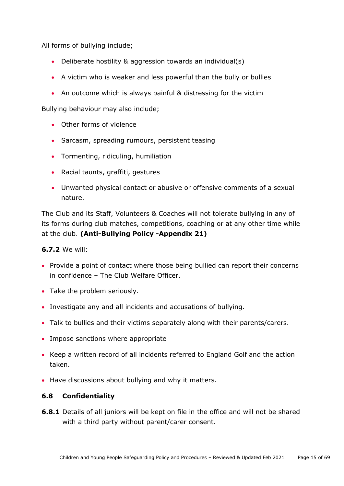All forms of bullying include;

- Deliberate hostility & aggression towards an individual(s)
- A victim who is weaker and less powerful than the bully or bullies
- An outcome which is always painful & distressing for the victim

Bullying behaviour may also include;

- Other forms of violence
- Sarcasm, spreading rumours, persistent teasing
- Tormenting, ridiculing, humiliation
- Racial taunts, graffiti, gestures
- Unwanted physical contact or abusive or offensive comments of a sexual nature.

The Club and its Staff, Volunteers & Coaches will not tolerate bullying in any of its forms during club matches, competitions, coaching or at any other time while at the club. **(Anti-Bullying Policy -Appendix 21)**

#### **6.7.2** We will:

- Provide a point of contact where those being bullied can report their concerns in confidence – The Club Welfare Officer.
- Take the problem seriously.
- Investigate any and all incidents and accusations of bullying.
- Talk to bullies and their victims separately along with their parents/carers.
- Impose sanctions where appropriate
- Keep a written record of all incidents referred to England Golf and the action taken.
- Have discussions about bullying and why it matters.

### **6.8 Confidentiality**

**6.8.1** Details of all juniors will be kept on file in the office and will not be shared with a third party without parent/carer consent.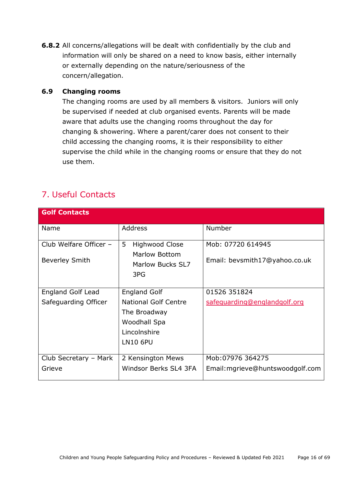**6.8.2** All concerns/allegations will be dealt with confidentially by the club and information will only be shared on a need to know basis, either internally or externally depending on the nature/seriousness of the concern/allegation.

#### **6.9 Changing rooms**

The changing rooms are used by all members & visitors. Juniors will only be supervised if needed at club organised events. Parents will be made aware that adults use the changing rooms throughout the day for changing & showering. Where a parent/carer does not consent to their child accessing the changing rooms, it is their responsibility to either supervise the child while in the changing rooms or ensure that they do not use them.

### <span id="page-15-0"></span>7. Useful Contacts

| <b>Golf Contacts</b>   |                                                        |                                  |
|------------------------|--------------------------------------------------------|----------------------------------|
| Name                   | Address                                                | Number                           |
| Club Welfare Officer - | 5<br><b>Highwood Close</b>                             | Mob: 07720 614945                |
| <b>Beverley Smith</b>  | <b>Marlow Bottom</b><br><b>Marlow Bucks SL7</b><br>3PG | Email: bevsmith17@yahoo.co.uk    |
|                        |                                                        |                                  |
| England Golf Lead      | <b>England Golf</b>                                    | 01526 351824                     |
| Safeguarding Officer   | <b>National Golf Centre</b>                            | safequarding@englandgolf.org     |
|                        | The Broadway                                           |                                  |
|                        | Woodhall Spa                                           |                                  |
|                        | Lincolnshire                                           |                                  |
|                        | <b>LN10 6PU</b>                                        |                                  |
|                        |                                                        |                                  |
| Club Secretary - Mark  | 2 Kensington Mews                                      | Mob: 07976 364275                |
| Grieve                 | Windsor Berks SL4 3FA                                  | Email: mgrieve@huntswoodgolf.com |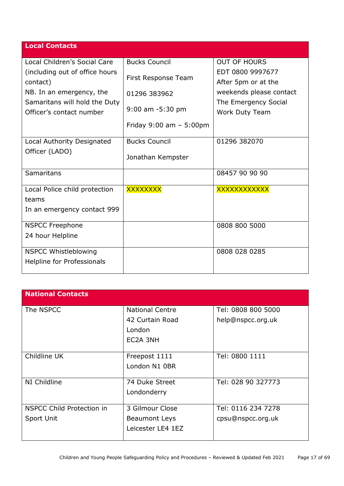| <b>Local Contacts</b>                                     |                             |                                                 |
|-----------------------------------------------------------|-----------------------------|-------------------------------------------------|
| Local Children's Social Care                              | <b>Bucks Council</b>        | <b>OUT OF HOURS</b>                             |
| (including out of office hours<br>contact)                | First Response Team         | EDT 0800 9997677<br>After 5pm or at the         |
| NB. In an emergency, the<br>Samaritans will hold the Duty | 01296 383962                | weekends please contact<br>The Emergency Social |
| Officer's contact number                                  | $9:00$ am $-5:30$ pm        | Work Duty Team                                  |
|                                                           | Friday $9:00$ am $-5:00$ pm |                                                 |
| Local Authority Designated                                | <b>Bucks Council</b>        | 01296 382070                                    |
| Officer (LADO)                                            | Jonathan Kempster           |                                                 |
| <b>Samaritans</b>                                         |                             | 08457 90 90 90                                  |
| Local Police child protection                             | <b>XXXXXXXX</b>             | <b>XXXXXXXXXXXX</b>                             |
| teams                                                     |                             |                                                 |
| In an emergency contact 999                               |                             |                                                 |
| <b>NSPCC Freephone</b>                                    |                             | 0808 800 5000                                   |
| 24 hour Helpline                                          |                             |                                                 |
| <b>NSPCC Whistleblowing</b>                               |                             | 0808 028 0285                                   |
| Helpline for Professionals                                |                             |                                                 |

| <b>National Contacts</b>  |                        |                    |
|---------------------------|------------------------|--------------------|
| The NSPCC                 | <b>National Centre</b> | Tel: 0808 800 5000 |
|                           | 42 Curtain Road        | help@nspcc.org.uk  |
|                           | London                 |                    |
|                           | EC2A 3NH               |                    |
|                           |                        |                    |
| Childline UK              | Freepost 1111          | Tel: 0800 1111     |
|                           | London N1 0BR          |                    |
|                           |                        |                    |
| NI Childline              | 74 Duke Street         | Tel: 028 90 327773 |
|                           | Londonderry            |                    |
|                           |                        |                    |
| NSPCC Child Protection in | 3 Gilmour Close        | Tel: 0116 234 7278 |
| Sport Unit                | <b>Beaumont Leys</b>   | cpsu@nspcc.org.uk  |
|                           | Leicester LE4 1EZ      |                    |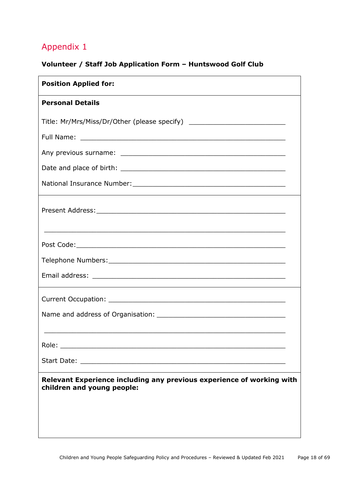### <span id="page-17-0"></span>**Volunteer / Staff Job Application Form – Huntswood Golf Club**

| <b>Position Applied for:</b>                                                                        |
|-----------------------------------------------------------------------------------------------------|
| <b>Personal Details</b>                                                                             |
| Title: Mr/Mrs/Miss/Dr/Other (please specify) ___________________________________                    |
|                                                                                                     |
|                                                                                                     |
|                                                                                                     |
|                                                                                                     |
|                                                                                                     |
|                                                                                                     |
|                                                                                                     |
|                                                                                                     |
|                                                                                                     |
|                                                                                                     |
|                                                                                                     |
|                                                                                                     |
|                                                                                                     |
|                                                                                                     |
| Relevant Experience including any previous experience of working with<br>children and young people: |
|                                                                                                     |
|                                                                                                     |
|                                                                                                     |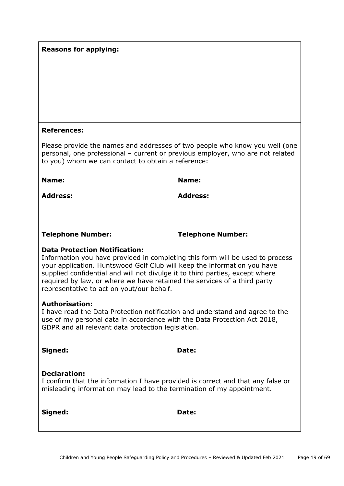#### **Reasons for applying:**

#### **References:**

Please provide the names and addresses of two people who know you well (one personal, one professional – current or previous employer, who are not related to you) whom we can contact to obtain a reference:

| Name:                    | Name:                    |
|--------------------------|--------------------------|
| <b>Address:</b>          | <b>Address:</b>          |
|                          |                          |
|                          |                          |
| <b>Telephone Number:</b> | <b>Telephone Number:</b> |

### **Data Protection Notification:**

Information you have provided in completing this form will be used to process your application. Huntswood Golf Club will keep the information you have supplied confidential and will not divulge it to third parties, except where required by law, or where we have retained the services of a third party representative to act on yout/our behalf.

#### **Authorisation:**

I have read the Data Protection notification and understand and agree to the use of my personal data in accordance with the Data Protection Act 2018, GDPR and all relevant data protection legislation.

| Signed:                                                                                                                                                                         | Date:        |  |
|---------------------------------------------------------------------------------------------------------------------------------------------------------------------------------|--------------|--|
| <b>Declaration:</b><br>I confirm that the information I have provided is correct and that any false or<br>misleading information may lead to the termination of my appointment. |              |  |
| Signed:                                                                                                                                                                         | <b>Date:</b> |  |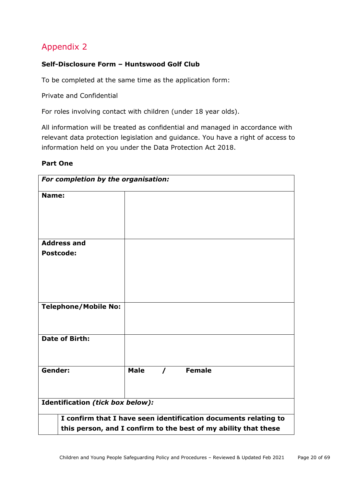### <span id="page-19-0"></span>**Self-Disclosure Form – Huntswood Golf Club**

To be completed at the same time as the application form:

Private and Confidential

For roles involving contact with children (under 18 year olds).

All information will be treated as confidential and managed in accordance with relevant data protection legislation and guidance. You have a right of access to information held on you under the Data Protection Act 2018.

#### **Part One**

| For completion by the organisation:                             |             |          |               |
|-----------------------------------------------------------------|-------------|----------|---------------|
| Name:                                                           |             |          |               |
|                                                                 |             |          |               |
|                                                                 |             |          |               |
| <b>Address and</b>                                              |             |          |               |
| <b>Postcode:</b>                                                |             |          |               |
|                                                                 |             |          |               |
|                                                                 |             |          |               |
|                                                                 |             |          |               |
|                                                                 |             |          |               |
| <b>Telephone/Mobile No:</b>                                     |             |          |               |
|                                                                 |             |          |               |
|                                                                 |             |          |               |
| <b>Date of Birth:</b>                                           |             |          |               |
|                                                                 |             |          |               |
| Gender:                                                         | <b>Male</b> | $\prime$ | <b>Female</b> |
|                                                                 |             |          |               |
|                                                                 |             |          |               |
| Identification (tick box below):                                |             |          |               |
|                                                                 |             |          |               |
| I confirm that I have seen identification documents relating to |             |          |               |
| this person, and I confirm to the best of my ability that these |             |          |               |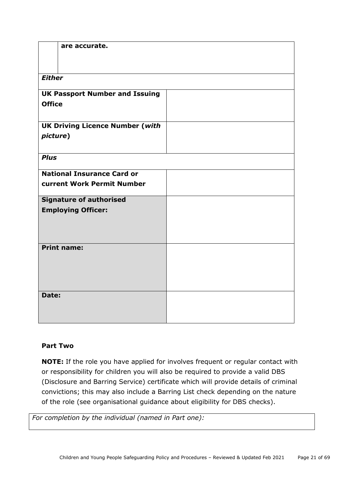| are accurate.                          |  |
|----------------------------------------|--|
|                                        |  |
|                                        |  |
| <b>Either</b>                          |  |
| <b>UK Passport Number and Issuing</b>  |  |
| <b>Office</b>                          |  |
| <b>UK Driving Licence Number (with</b> |  |
| picture)                               |  |
|                                        |  |
| <b>Plus</b>                            |  |
| <b>National Insurance Card or</b>      |  |
| current Work Permit Number             |  |
| <b>Signature of authorised</b>         |  |
| <b>Employing Officer:</b>              |  |
|                                        |  |
|                                        |  |
| <b>Print name:</b>                     |  |
|                                        |  |
|                                        |  |
|                                        |  |
| Date:                                  |  |
|                                        |  |
|                                        |  |

#### **Part Two**

**NOTE:** If the role you have applied for involves frequent or regular contact with or responsibility for children you will also be required to provide a valid DBS (Disclosure and Barring Service) certificate which will provide details of criminal convictions; this may also include a Barring List check depending on the nature of the role (see organisational guidance about eligibility for DBS checks).

*For completion by the individual (named in Part one):*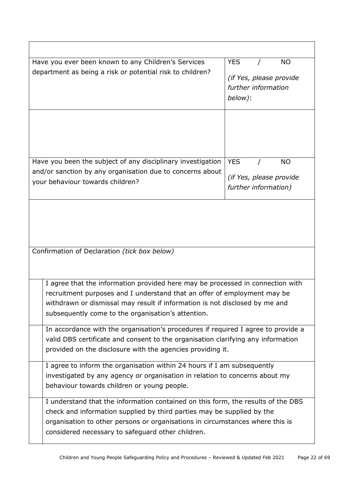| Have you ever been known to any Children's Services<br>department as being a risk or potential risk to children?                                                                                                                                                                                 | <b>YES</b><br><b>NO</b><br>(if Yes, please provide<br>further information<br>below): |  |
|--------------------------------------------------------------------------------------------------------------------------------------------------------------------------------------------------------------------------------------------------------------------------------------------------|--------------------------------------------------------------------------------------|--|
|                                                                                                                                                                                                                                                                                                  |                                                                                      |  |
| Have you been the subject of any disciplinary investigation<br>and/or sanction by any organisation due to concerns about<br>your behaviour towards children?                                                                                                                                     | <b>YES</b><br><b>NO</b><br>(if Yes, please provide<br>further information)           |  |
|                                                                                                                                                                                                                                                                                                  |                                                                                      |  |
| Confirmation of Declaration (tick box below)                                                                                                                                                                                                                                                     |                                                                                      |  |
| I agree that the information provided here may be processed in connection with<br>recruitment purposes and I understand that an offer of employment may be<br>withdrawn or dismissal may result if information is not disclosed by me and<br>subsequently come to the organisation's attention.  |                                                                                      |  |
| In accordance with the organisation's procedures if required I agree to provide a<br>valid DBS certificate and consent to the organisation clarifying any information<br>provided on the disclosure with the agencies providing it.                                                              |                                                                                      |  |
| I agree to inform the organisation within 24 hours if I am subsequently<br>investigated by any agency or organisation in relation to concerns about my<br>behaviour towards children or young people.                                                                                            |                                                                                      |  |
| I understand that the information contained on this form, the results of the DBS<br>check and information supplied by third parties may be supplied by the<br>organisation to other persons or organisations in circumstances where this is<br>considered necessary to safeguard other children. |                                                                                      |  |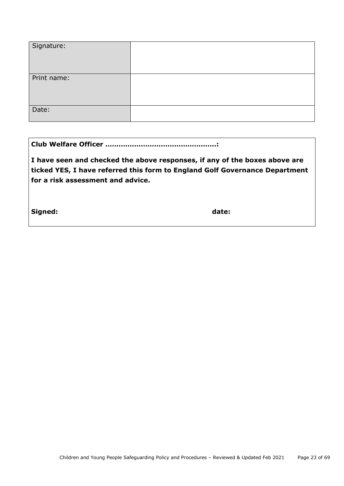| Signature:  |  |
|-------------|--|
| Print name: |  |
| Date:       |  |

**I have seen and checked the above responses, if any of the boxes above are ticked YES, I have referred this form to England Golf Governance Department for a risk assessment and advice.**

**Signed: date:**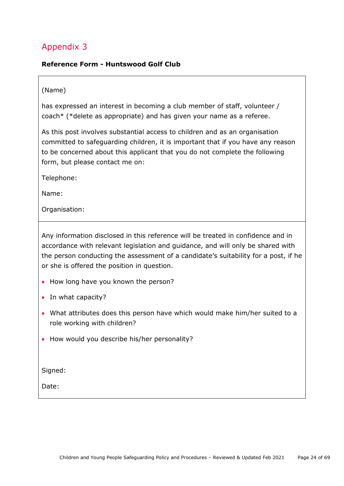#### <span id="page-23-0"></span>**Reference Form - Huntswood Golf Club**

#### (Name)

has expressed an interest in becoming a club member of staff, volunteer / coach\* (\*delete as appropriate) and has given your name as a referee.

As this post involves substantial access to children and as an organisation committed to safeguarding children, it is important that if you have any reason to be concerned about this applicant that you do not complete the following form, but please contact me on:

Telephone:

Name:

Organisation:

Any information disclosed in this reference will be treated in confidence and in accordance with relevant legislation and guidance, and will only be shared with the person conducting the assessment of a candidate's suitability for a post, if he or she is offered the position in question.

- How long have you known the person?
- In what capacity?
- What attributes does this person have which would make him/her suited to a role working with children?
- How would you describe his/her personality?

Signed:

<span id="page-23-1"></span>Date: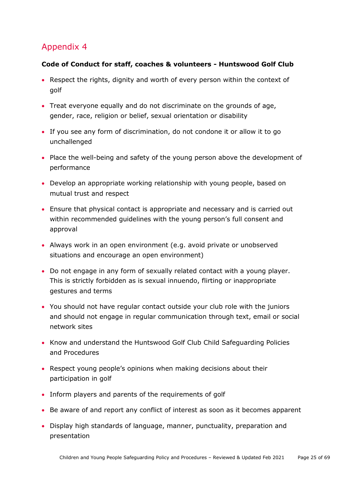### **Code of Conduct for staff, coaches & volunteers - Huntswood Golf Club**

- Respect the rights, dignity and worth of every person within the context of golf
- Treat everyone equally and do not discriminate on the grounds of age, gender, race, religion or belief, sexual orientation or disability
- If you see any form of discrimination, do not condone it or allow it to go unchallenged
- Place the well-being and safety of the young person above the development of performance
- Develop an appropriate working relationship with young people, based on mutual trust and respect
- Ensure that physical contact is appropriate and necessary and is carried out within recommended guidelines with the young person's full consent and approval
- Always work in an open environment (e.g. avoid private or unobserved situations and encourage an open environment)
- Do not engage in any form of sexually related contact with a young player. This is strictly forbidden as is sexual innuendo, flirting or inappropriate gestures and terms
- You should not have regular contact outside your club role with the juniors and should not engage in regular communication through text, email or social network sites
- Know and understand the Huntswood Golf Club Child Safeguarding Policies and Procedures
- Respect young people's opinions when making decisions about their participation in golf
- Inform players and parents of the requirements of golf
- Be aware of and report any conflict of interest as soon as it becomes apparent
- Display high standards of language, manner, punctuality, preparation and presentation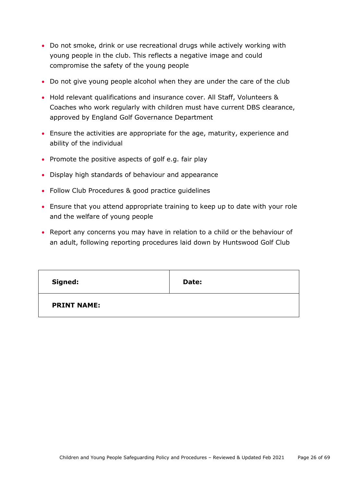- Do not smoke, drink or use recreational drugs while actively working with young people in the club. This reflects a negative image and could compromise the safety of the young people
- Do not give young people alcohol when they are under the care of the club
- Hold relevant qualifications and insurance cover. All Staff, Volunteers & Coaches who work regularly with children must have current DBS clearance, approved by England Golf Governance Department
- Ensure the activities are appropriate for the age, maturity, experience and ability of the individual
- Promote the positive aspects of golf e.g. fair play
- Display high standards of behaviour and appearance
- Follow Club Procedures & good practice guidelines
- Ensure that you attend appropriate training to keep up to date with your role and the welfare of young people
- Report any concerns you may have in relation to a child or the behaviour of an adult, following reporting procedures laid down by Huntswood Golf Club

<span id="page-25-0"></span>

| Signed:            | Date: |
|--------------------|-------|
| <b>PRINT NAME:</b> |       |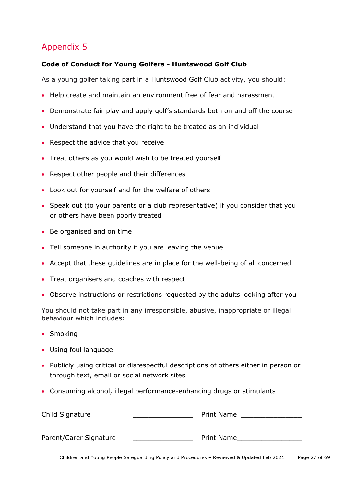### **Code of Conduct for Young Golfers - Huntswood Golf Club**

As a young golfer taking part in a Huntswood Golf Club activity, you should:

- Help create and maintain an environment free of fear and harassment
- Demonstrate fair play and apply golf's standards both on and off the course
- Understand that you have the right to be treated as an individual
- Respect the advice that you receive
- Treat others as you would wish to be treated yourself
- Respect other people and their differences
- Look out for yourself and for the welfare of others
- Speak out (to your parents or a club representative) if you consider that you or others have been poorly treated
- Be organised and on time
- Tell someone in authority if you are leaving the venue
- Accept that these guidelines are in place for the well-being of all concerned
- Treat organisers and coaches with respect
- Observe instructions or restrictions requested by the adults looking after you

You should not take part in any irresponsible, abusive, inappropriate or illegal behaviour which includes:

- Smoking
- Using foul language
- Publicly using critical or disrespectful descriptions of others either in person or through text, email or social network sites
- Consuming alcohol, illegal performance-enhancing drugs or stimulants

| Child Signature        | Print Name |
|------------------------|------------|
| Parent/Carer Signature | Print Name |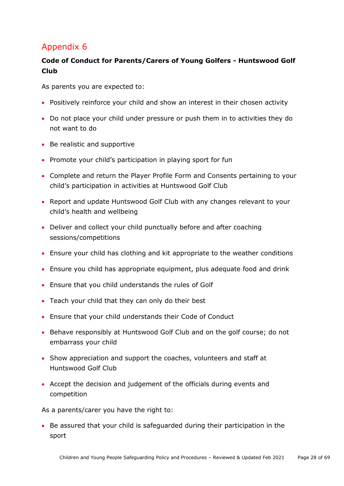### <span id="page-27-0"></span>**Code of Conduct for Parents/Carers of Young Golfers - Huntswood Golf Club**

As parents you are expected to:

- Positively reinforce your child and show an interest in their chosen activity
- Do not place your child under pressure or push them in to activities they do not want to do
- Be realistic and supportive
- Promote your child's participation in playing sport for fun
- Complete and return the Player Profile Form and Consents pertaining to your child's participation in activities at Huntswood Golf Club
- Report and update Huntswood Golf Club with any changes relevant to your child's health and wellbeing
- Deliver and collect your child punctually before and after coaching sessions/competitions
- Ensure your child has clothing and kit appropriate to the weather conditions
- Ensure you child has appropriate equipment, plus adequate food and drink
- Ensure that you child understands the rules of Golf
- Teach your child that they can only do their best
- Ensure that your child understands their Code of Conduct
- Behave responsibly at Huntswood Golf Club and on the golf course; do not embarrass your child
- Show appreciation and support the coaches, volunteers and staff at Huntswood Golf Club
- Accept the decision and judgement of the officials during events and competition

As a parents/carer you have the right to:

 Be assured that your child is safeguarded during their participation in the sport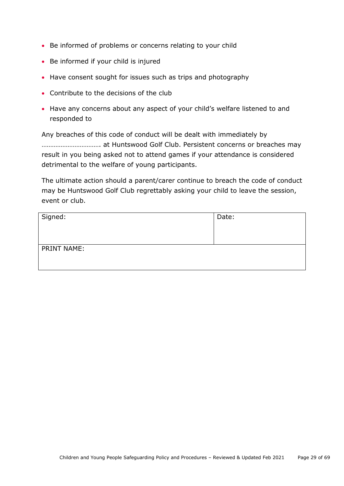- Be informed of problems or concerns relating to your child
- Be informed if your child is injured
- Have consent sought for issues such as trips and photography
- Contribute to the decisions of the club
- Have any concerns about any aspect of your child's welfare listened to and responded to

Any breaches of this code of conduct will be dealt with immediately by ……………………………. at Huntswood Golf Club. Persistent concerns or breaches may result in you being asked not to attend games if your attendance is considered detrimental to the welfare of young participants.

The ultimate action should a parent/carer continue to breach the code of conduct may be Huntswood Golf Club regrettably asking your child to leave the session, event or club.

| Signed:     | Date: |
|-------------|-------|
| PRINT NAME: |       |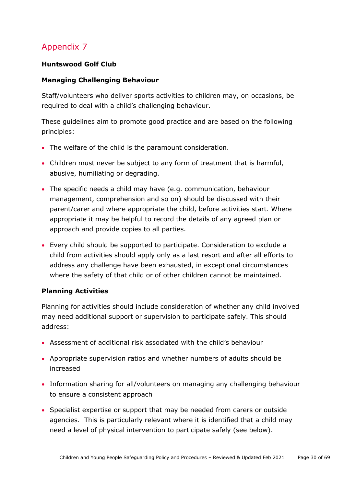### **Huntswood Golf Club**

#### **Managing Challenging Behaviour**

Staff/volunteers who deliver sports activities to children may, on occasions, be required to deal with a child's challenging behaviour.

These guidelines aim to promote good practice and are based on the following principles:

- The welfare of the child is the paramount consideration.
- Children must never be subject to any form of treatment that is harmful, abusive, humiliating or degrading.
- The specific needs a child may have (e.g. communication, behaviour management, comprehension and so on) should be discussed with their parent/carer and where appropriate the child, before activities start. Where appropriate it may be helpful to record the details of any agreed plan or approach and provide copies to all parties.
- Every child should be supported to participate. Consideration to exclude a child from activities should apply only as a last resort and after all efforts to address any challenge have been exhausted, in exceptional circumstances where the safety of that child or of other children cannot be maintained.

### **Planning Activities**

Planning for activities should include consideration of whether any child involved may need additional support or supervision to participate safely. This should address:

- Assessment of additional risk associated with the child's behaviour
- Appropriate supervision ratios and whether numbers of adults should be increased
- Information sharing for all/volunteers on managing any challenging behaviour to ensure a consistent approach
- Specialist expertise or support that may be needed from carers or outside agencies. This is particularly relevant where it is identified that a child may need a level of physical intervention to participate safely (see below).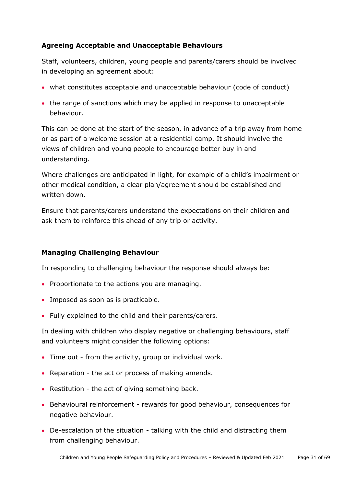### **Agreeing Acceptable and Unacceptable Behaviours**

Staff, volunteers, children, young people and parents/carers should be involved in developing an agreement about:

- what constitutes acceptable and unacceptable behaviour (code of conduct)
- the range of sanctions which may be applied in response to unacceptable behaviour.

This can be done at the start of the season, in advance of a trip away from home or as part of a welcome session at a residential camp. It should involve the views of children and young people to encourage better buy in and understanding.

Where challenges are anticipated in light, for example of a child's impairment or other medical condition, a clear plan/agreement should be established and written down.

Ensure that parents/carers understand the expectations on their children and ask them to reinforce this ahead of any trip or activity.

### **Managing Challenging Behaviour**

In responding to challenging behaviour the response should always be:

- Proportionate to the actions you are managing.
- Imposed as soon as is practicable.
- Fully explained to the child and their parents/carers.

In dealing with children who display negative or challenging behaviours, staff and volunteers might consider the following options:

- Time out from the activity, group or individual work.
- Reparation the act or process of making amends.
- Restitution the act of giving something back.
- Behavioural reinforcement rewards for good behaviour, consequences for negative behaviour.
- De-escalation of the situation talking with the child and distracting them from challenging behaviour.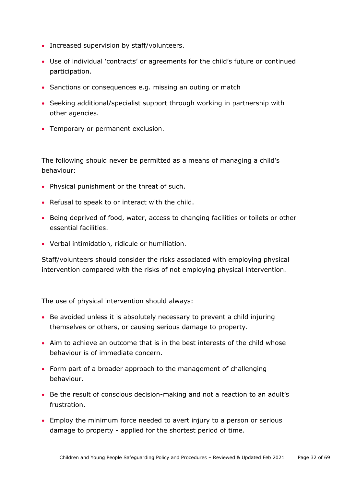- Increased supervision by staff/volunteers.
- Use of individual 'contracts' or agreements for the child's future or continued participation.
- Sanctions or consequences e.g. missing an outing or match
- Seeking additional/specialist support through working in partnership with other agencies.
- Temporary or permanent exclusion.

The following should never be permitted as a means of managing a child's behaviour:

- Physical punishment or the threat of such.
- Refusal to speak to or interact with the child.
- Being deprived of food, water, access to changing facilities or toilets or other essential facilities.
- Verbal intimidation, ridicule or humiliation.

Staff/volunteers should consider the risks associated with employing physical intervention compared with the risks of not employing physical intervention.

The use of physical intervention should always:

- Be avoided unless it is absolutely necessary to prevent a child injuring themselves or others, or causing serious damage to property.
- Aim to achieve an outcome that is in the best interests of the child whose behaviour is of immediate concern.
- Form part of a broader approach to the management of challenging behaviour.
- Be the result of conscious decision-making and not a reaction to an adult's frustration.
- Employ the minimum force needed to avert injury to a person or serious damage to property - applied for the shortest period of time.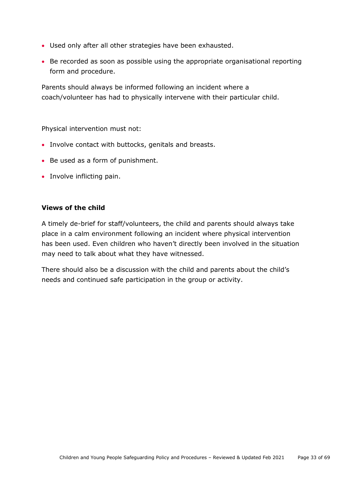- Used only after all other strategies have been exhausted.
- Be recorded as soon as possible using the appropriate organisational reporting form and procedure.

Parents should always be informed following an incident where a coach/volunteer has had to physically intervene with their particular child.

Physical intervention must not:

- Involve contact with buttocks, genitals and breasts.
- Be used as a form of punishment.
- Involve inflicting pain.

#### **Views of the child**

A timely de-brief for staff/volunteers, the child and parents should always take place in a calm environment following an incident where physical intervention has been used. Even children who haven't directly been involved in the situation may need to talk about what they have witnessed.

There should also be a discussion with the child and parents about the child's needs and continued safe participation in the group or activity.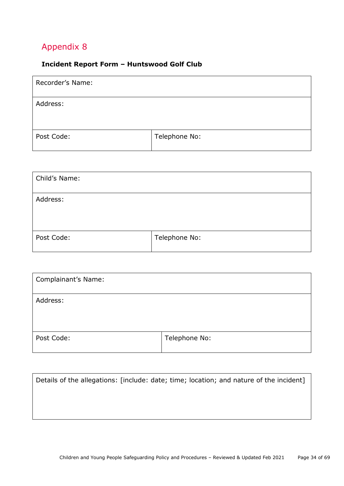### <span id="page-33-0"></span>**Incident Report Form – Huntswood Golf Club**

| Recorder's Name: |               |
|------------------|---------------|
| Address:         |               |
|                  |               |
| Post Code:       | Telephone No: |

| Child's Name: |               |
|---------------|---------------|
| Address:      |               |
| Post Code:    | Telephone No: |

| Complainant's Name: |               |
|---------------------|---------------|
| Address:            |               |
| Post Code:          | Telephone No: |

| Details of the allegations: [include: date; time; location; and nature of the incident] |
|-----------------------------------------------------------------------------------------|
|                                                                                         |
|                                                                                         |
|                                                                                         |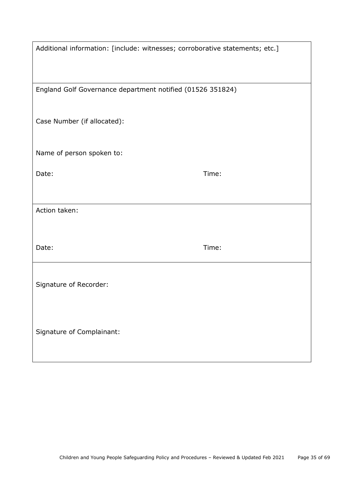| Additional information: [include: witnesses; corroborative statements; etc.] |       |
|------------------------------------------------------------------------------|-------|
|                                                                              |       |
| England Golf Governance department notified (01526 351824)                   |       |
| Case Number (if allocated):                                                  |       |
| Name of person spoken to:                                                    |       |
| Date:                                                                        | Time: |
|                                                                              |       |
| Action taken:                                                                |       |
|                                                                              |       |
| Date:                                                                        | Time: |
| Signature of Recorder:                                                       |       |
|                                                                              |       |
| Signature of Complainant:                                                    |       |
|                                                                              |       |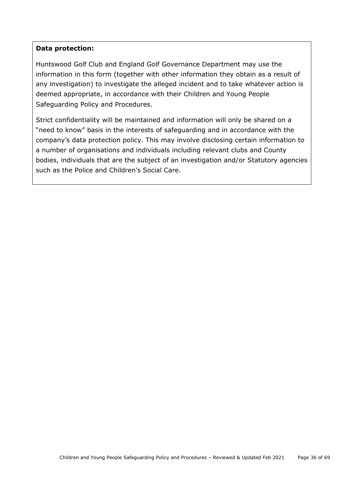#### **Data protection:**

Huntswood Golf Club and England Golf Governance Department may use the information in this form (together with other information they obtain as a result of any investigation) to investigate the alleged incident and to take whatever action is deemed appropriate, in accordance with their Children and Young People Safeguarding Policy and Procedures.

<span id="page-35-0"></span>Strict confidentiality will be maintained and information will only be shared on a "need to know" basis in the interests of safeguarding and in accordance with the company's data protection policy. This may involve disclosing certain information to a number of organisations and individuals including relevant clubs and County bodies, individuals that are the subject of an investigation and/or Statutory agencies such as the Police and Children's Social Care.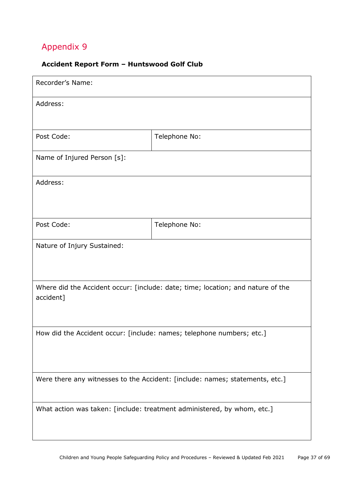### **Accident Report Form – Huntswood Golf Club**

| Recorder's Name:            |                                                                                 |
|-----------------------------|---------------------------------------------------------------------------------|
| Address:                    |                                                                                 |
|                             |                                                                                 |
| Post Code:                  | Telephone No:                                                                   |
| Name of Injured Person [s]: |                                                                                 |
| Address:                    |                                                                                 |
|                             |                                                                                 |
| Post Code:                  | Telephone No:                                                                   |
| Nature of Injury Sustained: |                                                                                 |
|                             |                                                                                 |
| accident]                   | Where did the Accident occur: [include: date; time; location; and nature of the |
|                             |                                                                                 |
|                             | How did the Accident occur: [include: names; telephone numbers; etc.]           |
|                             |                                                                                 |
|                             |                                                                                 |
|                             | Were there any witnesses to the Accident: [include: names; statements, etc.]    |
|                             | What action was taken: [include: treatment administered, by whom, etc.]         |
|                             |                                                                                 |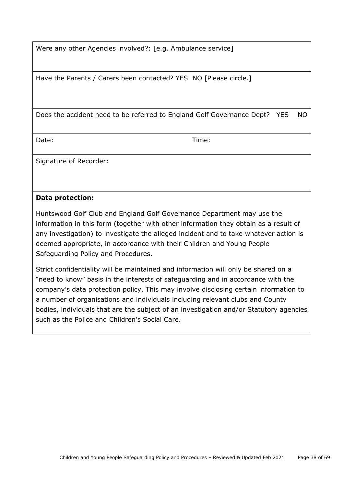Were any other Agencies involved?: [e.g. Ambulance service]

Have the Parents / Carers been contacted? YES NO [Please circle.]

Does the accident need to be referred to England Golf Governance Dept? YES NO

Date: Time:

Signature of Recorder:

#### **Data protection:**

Huntswood Golf Club and England Golf Governance Department may use the information in this form (together with other information they obtain as a result of any investigation) to investigate the alleged incident and to take whatever action is deemed appropriate, in accordance with their Children and Young People Safeguarding Policy and Procedures.

<span id="page-37-0"></span>Strict confidentiality will be maintained and information will only be shared on a "need to know" basis in the interests of safeguarding and in accordance with the company's data protection policy. This may involve disclosing certain information to a number of organisations and individuals including relevant clubs and County bodies, individuals that are the subject of an investigation and/or Statutory agencies such as the Police and Children's Social Care.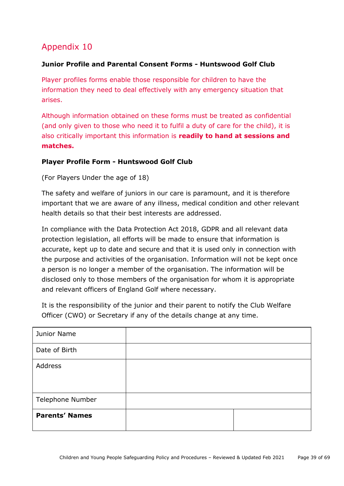### **Junior Profile and Parental Consent Forms - Huntswood Golf Club**

Player profiles forms enable those responsible for children to have the information they need to deal effectively with any emergency situation that arises.

Although information obtained on these forms must be treated as confidential (and only given to those who need it to fulfil a duty of care for the child), it is also critically important this information is **readily to hand at sessions and matches.**

### **Player Profile Form - Huntswood Golf Club**

(For Players Under the age of 18)

The safety and welfare of juniors in our care is paramount, and it is therefore important that we are aware of any illness, medical condition and other relevant health details so that their best interests are addressed.

In compliance with the Data Protection Act 2018, GDPR and all relevant data protection legislation, all efforts will be made to ensure that information is accurate, kept up to date and secure and that it is used only in connection with the purpose and activities of the organisation. Information will not be kept once a person is no longer a member of the organisation. The information will be disclosed only to those members of the organisation for whom it is appropriate and relevant officers of England Golf where necessary.

It is the responsibility of the junior and their parent to notify the Club Welfare Officer (CWO) or Secretary if any of the details change at any time.

| Junior Name           |  |
|-----------------------|--|
| Date of Birth         |  |
| Address               |  |
| Telephone Number      |  |
| <b>Parents' Names</b> |  |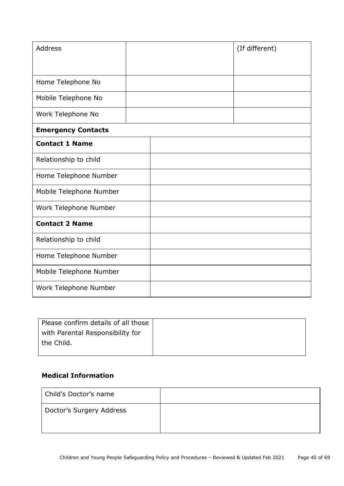| <b>Address</b>            |  | (If different) |
|---------------------------|--|----------------|
|                           |  |                |
|                           |  |                |
| Home Telephone No         |  |                |
| Mobile Telephone No       |  |                |
| Work Telephone No         |  |                |
| <b>Emergency Contacts</b> |  |                |
| <b>Contact 1 Name</b>     |  |                |
| Relationship to child     |  |                |
| Home Telephone Number     |  |                |
| Mobile Telephone Number   |  |                |
| Work Telephone Number     |  |                |
| <b>Contact 2 Name</b>     |  |                |
| Relationship to child     |  |                |
| Home Telephone Number     |  |                |
| Mobile Telephone Number   |  |                |
| Work Telephone Number     |  |                |

| Please confirm details of all those |
|-------------------------------------|
| with Parental Responsibility for    |
| the Child.                          |
|                                     |

### **Medical Information**

| Child's Doctor's name    |  |
|--------------------------|--|
| Doctor's Surgery Address |  |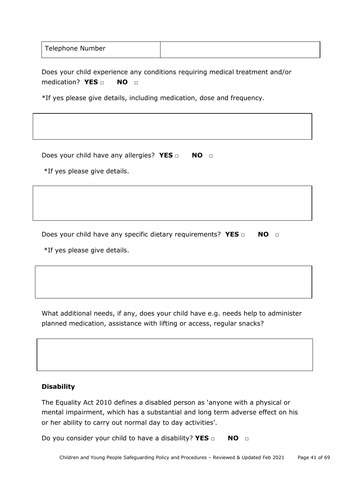| Telephone Number |  |
|------------------|--|
|------------------|--|

Does your child experience any conditions requiring medical treatment and/or medication? **YES □ NO □**

\*If yes please give details, including medication, dose and frequency.

Does your child have any allergies? **YES** □ **NO** □

\*If yes please give details.

Does your child have any specific dietary requirements? YES □ NO □

\*If yes please give details.

What additional needs, if any, does your child have e.g. needs help to administer planned medication, assistance with lifting or access, regular snacks?

### **Disability**

The Equality Act 2010 defines a disabled person as 'anyone with a physical or mental impairment, which has a substantial and long term adverse effect on his or her ability to carry out normal day to day activities'.

Do you consider your child to have a disability? **YES** □ **NO** □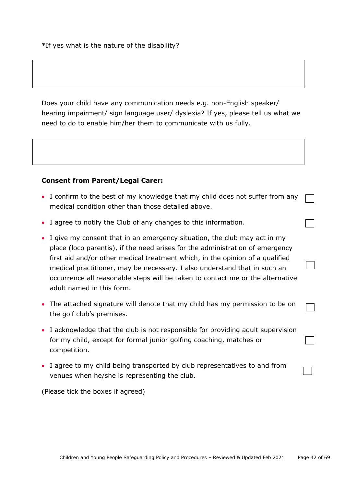\*If yes what is the nature of the disability?

Does your child have any communication needs e.g. non-English speaker/ hearing impairment/ sign language user/ dyslexia? If yes, please tell us what we need to do to enable him/her them to communicate with us fully.

#### **Consent from Parent/Legal Carer:**

- I confirm to the best of my knowledge that my child does not suffer from any medical condition other than those detailed above.
- I agree to notify the Club of any changes to this information.
- I give my consent that in an emergency situation, the club may act in my place (loco parentis), if the need arises for the administration of emergency first aid and/or other medical treatment which, in the opinion of a qualified medical practitioner, may be necessary. I also understand that in such an occurrence all reasonable steps will be taken to contact me or the alternative adult named in this form.
- The attached signature will denote that my child has my permission to be on the golf club's premises.
- I acknowledge that the club is not responsible for providing adult supervision for my child, except for formal junior golfing coaching, matches or competition.
- I agree to my child being transported by club representatives to and from venues when he/she is representing the club.

(Please tick the boxes if agreed)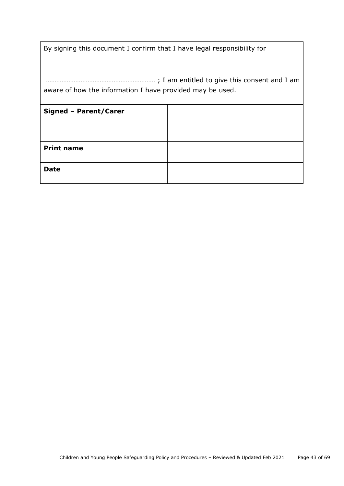| By signing this document I confirm that I have legal responsibility for |  |  |  |  |  |
|-------------------------------------------------------------------------|--|--|--|--|--|
| aware of how the information I have provided may be used.               |  |  |  |  |  |
| Signed - Parent/Carer                                                   |  |  |  |  |  |
|                                                                         |  |  |  |  |  |
| <b>Print name</b>                                                       |  |  |  |  |  |
| <b>Date</b>                                                             |  |  |  |  |  |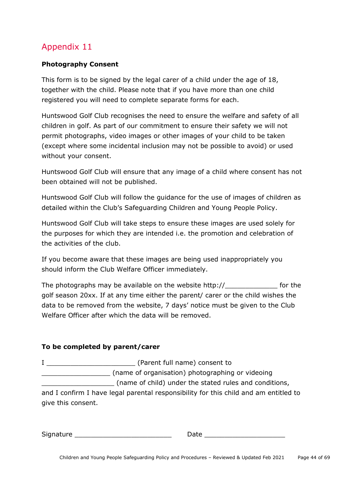### <span id="page-43-0"></span>**Photography Consent**

This form is to be signed by the legal carer of a child under the age of 18, together with the child. Please note that if you have more than one child registered you will need to complete separate forms for each.

Huntswood Golf Club recognises the need to ensure the welfare and safety of all children in golf. As part of our commitment to ensure their safety we will not permit photographs, video images or other images of your child to be taken (except where some incidental inclusion may not be possible to avoid) or used without your consent.

Huntswood Golf Club will ensure that any image of a child where consent has not been obtained will not be published.

Huntswood Golf Club will follow the guidance for the use of images of children as detailed within the Club's Safeguarding Children and Young People Policy.

Huntswood Golf Club will take steps to ensure these images are used solely for the purposes for which they are intended i.e. the promotion and celebration of the activities of the club.

If you become aware that these images are being used inappropriately you should inform the Club Welfare Officer immediately.

The photographs may be available on the website http://\_\_\_\_\_\_\_\_\_\_\_\_\_\_\_ for the golf season 20xx. If at any time either the parent/ carer or the child wishes the data to be removed from the website, 7 days' notice must be given to the Club Welfare Officer after which the data will be removed.

#### **To be completed by parent/carer**

I \_\_\_\_\_\_\_\_\_\_\_\_\_\_\_\_\_\_\_\_\_\_ (Parent full name) consent to \_\_\_\_\_\_\_\_\_\_\_\_\_\_\_\_\_ (name of organisation) photographing or videoing \_\_\_\_\_\_\_\_\_\_\_\_\_\_\_\_\_\_ (name of child) under the stated rules and conditions,

and I confirm I have legal parental responsibility for this child and am entitled to give this consent.

| <b>- -</b><br>$\sim$ $\sim$ $\sim$<br>Sig | ____ |  |
|-------------------------------------------|------|--|
|                                           |      |  |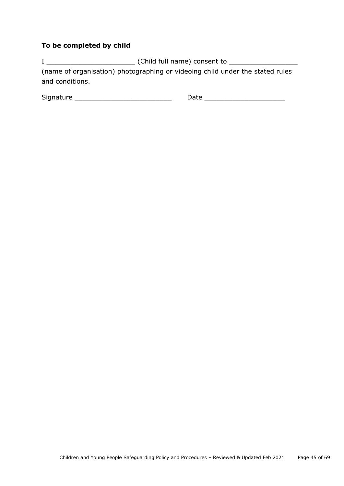### **To be completed by child**

I \_\_\_\_\_\_\_\_\_\_\_\_\_\_\_\_\_\_\_\_\_\_ (Child full name) consent to \_\_\_\_\_\_\_\_\_\_\_\_\_\_\_\_\_ (name of organisation) photographing or videoing child under the stated rules and conditions.

<span id="page-44-0"></span>

| $\sim$<br>$- - -$<br>510<br>. | -- |
|-------------------------------|----|
|-------------------------------|----|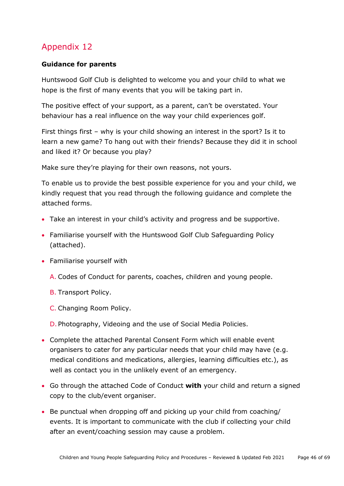### **Guidance for parents**

Huntswood Golf Club is delighted to welcome you and your child to what we hope is the first of many events that you will be taking part in.

The positive effect of your support, as a parent, can't be overstated. Your behaviour has a real influence on the way your child experiences golf.

First things first – why is your child showing an interest in the sport? Is it to learn a new game? To hang out with their friends? Because they did it in school and liked it? Or because you play?

Make sure they're playing for their own reasons, not yours.

To enable us to provide the best possible experience for you and your child, we kindly request that you read through the following guidance and complete the attached forms.

- Take an interest in your child's activity and progress and be supportive.
- Familiarise yourself with the Huntswood Golf Club Safeguarding Policy (attached).
- Familiarise yourself with
	- A. Codes of Conduct for parents, coaches, children and young people.
	- B. Transport Policy.
	- C. Changing Room Policy.

D. Photography, Videoing and the use of Social Media Policies.

- Complete the attached Parental Consent Form which will enable event organisers to cater for any particular needs that your child may have (e.g. medical conditions and medications, allergies, learning difficulties etc.), as well as contact you in the unlikely event of an emergency.
- Go through the attached Code of Conduct **with** your child and return a signed copy to the club/event organiser.
- Be punctual when dropping off and picking up your child from coaching/ events. It is important to communicate with the club if collecting your child after an event/coaching session may cause a problem.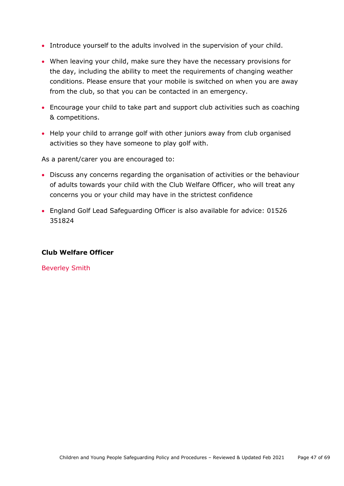- Introduce yourself to the adults involved in the supervision of your child.
- When leaving your child, make sure they have the necessary provisions for the day, including the ability to meet the requirements of changing weather conditions. Please ensure that your mobile is switched on when you are away from the club, so that you can be contacted in an emergency.
- Encourage your child to take part and support club activities such as coaching & competitions.
- Help your child to arrange golf with other juniors away from club organised activities so they have someone to play golf with.

As a parent/carer you are encouraged to:

- Discuss any concerns regarding the organisation of activities or the behaviour of adults towards your child with the Club Welfare Officer, who will treat any concerns you or your child may have in the strictest confidence
- England Golf Lead Safeguarding Officer is also available for advice: 01526 351824

#### **Club Welfare Officer**

<span id="page-46-0"></span>Beverley Smith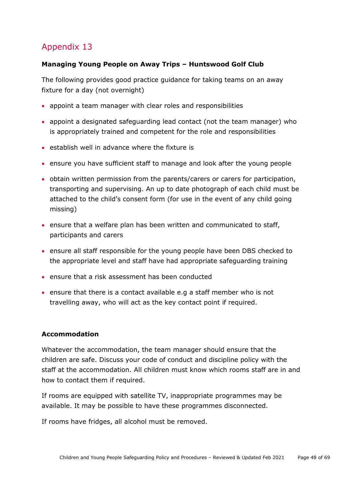### **Managing Young People on Away Trips – Huntswood Golf Club**

The following provides good practice guidance for taking teams on an away fixture for a day (not overnight)

- appoint a team manager with clear roles and responsibilities
- appoint a designated safeguarding lead contact (not the team manager) who is appropriately trained and competent for the role and responsibilities
- establish well in advance where the fixture is
- ensure you have sufficient staff to manage and look after the young people
- obtain written permission from the parents/carers or carers for participation, transporting and supervising. An up to date photograph of each child must be attached to the child's consent form (for use in the event of any child going missing)
- ensure that a welfare plan has been written and communicated to staff, participants and carers
- ensure all staff responsible for the young people have been DBS checked to the appropriate level and staff have had appropriate safeguarding training
- ensure that a risk assessment has been conducted
- ensure that there is a contact available e.g a staff member who is not travelling away, who will act as the key contact point if required.

### **Accommodation**

Whatever the accommodation, the team manager should ensure that the children are safe. Discuss your code of conduct and discipline policy with the staff at the accommodation. All children must know which rooms staff are in and how to contact them if required.

If rooms are equipped with satellite TV, inappropriate programmes may be available. It may be possible to have these programmes disconnected.

If rooms have fridges, all alcohol must be removed.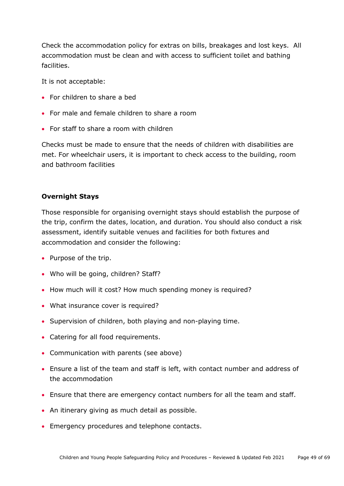Check the accommodation policy for extras on bills, breakages and lost keys. All accommodation must be clean and with access to sufficient toilet and bathing facilities.

It is not acceptable:

- For children to share a bed
- For male and female children to share a room
- For staff to share a room with children

Checks must be made to ensure that the needs of children with disabilities are met. For wheelchair users, it is important to check access to the building, room and bathroom facilities

#### **Overnight Stays**

Those responsible for organising overnight stays should establish the purpose of the trip, confirm the dates, location, and duration. You should also conduct a risk assessment, identify suitable venues and facilities for both fixtures and accommodation and consider the following:

- Purpose of the trip.
- Who will be going, children? Staff?
- How much will it cost? How much spending money is required?
- What insurance cover is required?
- Supervision of children, both playing and non-playing time.
- Catering for all food requirements.
- Communication with parents (see above)
- Ensure a list of the team and staff is left, with contact number and address of the accommodation
- Ensure that there are emergency contact numbers for all the team and staff.
- An itinerary giving as much detail as possible.
- Emergency procedures and telephone contacts.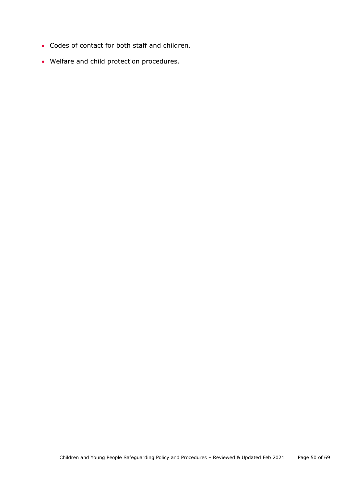- Codes of contact for both staff and children.
- <span id="page-49-0"></span>Welfare and child protection procedures.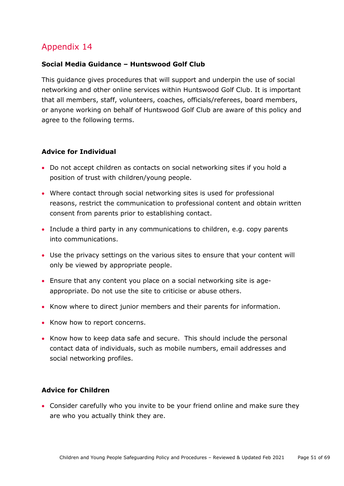### **Social Media Guidance – Huntswood Golf Club**

This guidance gives procedures that will support and underpin the use of social networking and other online services within Huntswood Golf Club. It is important that all members, staff, volunteers, coaches, officials/referees, board members, or anyone working on behalf of Huntswood Golf Club are aware of this policy and agree to the following terms.

#### **Advice for Individual**

- Do not accept children as contacts on social networking sites if you hold a position of trust with children/young people.
- Where contact through social networking sites is used for professional reasons, restrict the communication to professional content and obtain written consent from parents prior to establishing contact.
- Include a third party in any communications to children, e.g. copy parents into communications.
- Use the privacy settings on the various sites to ensure that your content will only be viewed by appropriate people.
- Ensure that any content you place on a social networking site is ageappropriate. Do not use the site to criticise or abuse others.
- Know where to direct junior members and their parents for information.
- Know how to report concerns.
- Know how to keep data safe and secure. This should include the personal contact data of individuals, such as mobile numbers, email addresses and social networking profiles.

#### **Advice for Children**

 Consider carefully who you invite to be your friend online and make sure they are who you actually think they are.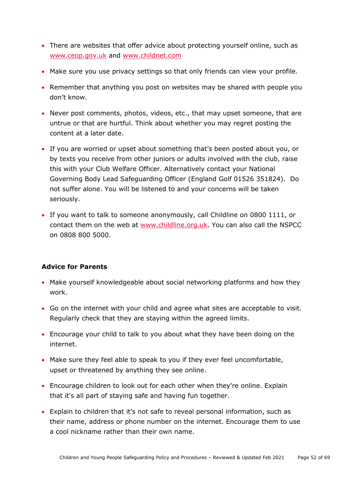- There are websites that offer advice about protecting yourself online, such as [www.ceop.gov.uk](http://www.ceop.gov.uk/) and [www.childnet.com](http://www.childnet.com/)
- Make sure you use privacy settings so that only friends can view your profile.
- Remember that anything you post on websites may be shared with people you don't know.
- Never post comments, photos, videos, etc., that may upset someone, that are untrue or that are hurtful. Think about whether you may regret posting the content at a later date.
- If you are worried or upset about something that's been posted about you, or by texts you receive from other juniors or adults involved with the club, raise this with your Club Welfare Officer. Alternatively contact your National Governing Body Lead Safeguarding Officer (England Golf 01526 351824). Do not suffer alone. You will be listened to and your concerns will be taken seriously.
- If you want to talk to someone anonymously, call Childline on 0800 1111, or contact them on the web at [www.childline.org.uk.](http://www.childline.org.uk/) You can also call the NSPCC on 0808 800 5000.

#### **Advice for Parents**

- Make yourself knowledgeable about social networking platforms and how they work.
- Go on the internet with your child and agree what sites are acceptable to visit. Regularly check that they are staying within the agreed limits.
- Encourage your child to talk to you about what they have been doing on the internet.
- Make sure they feel able to speak to you if they ever feel uncomfortable, upset or threatened by anything they see online.
- Encourage children to look out for each other when they're online. Explain that it's all part of staying safe and having fun together.
- Explain to children that it's not safe to reveal personal information, such as their name, address or phone number on the internet. Encourage them to use a cool nickname rather than their own name.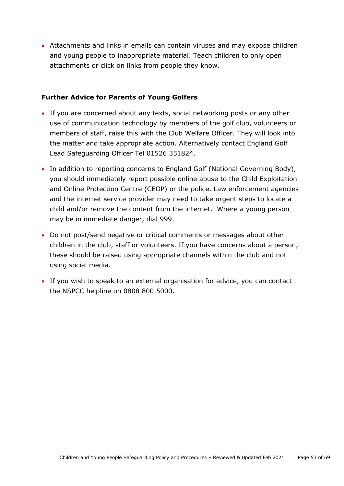Attachments and links in emails can contain viruses and may expose children and young people to inappropriate material. Teach children to only open attachments or click on links from people they know.

#### **Further Advice for Parents of Young Golfers**

- If you are concerned about any texts, social networking posts or any other use of communication technology by members of the golf club, volunteers or members of staff, raise this with the Club Welfare Officer. They will look into the matter and take appropriate action. Alternatively contact England Golf Lead Safeguarding Officer Tel 01526 351824.
- In addition to reporting concerns to England Golf (National Governing Body), you should immediately report possible online abuse to the Child Exploitation and Online Protection Centre (CEOP) or the police. Law enforcement agencies and the internet service provider may need to take urgent steps to locate a child and/or remove the content from the internet. Where a young person may be in immediate danger, dial 999.
- Do not post/send negative or critical comments or messages about other children in the club, staff or volunteers. If you have concerns about a person, these should be raised using appropriate channels within the club and not using social media.
- <span id="page-52-0"></span> If you wish to speak to an external organisation for advice, you can contact the NSPCC helpline on 0808 800 5000.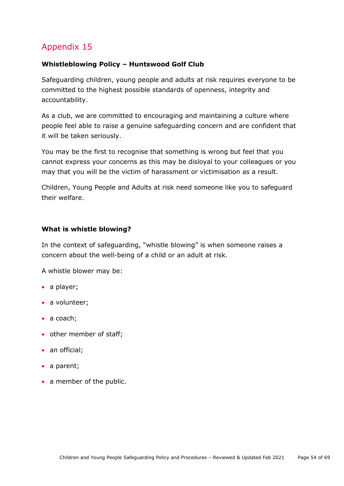### **Whistleblowing Policy – Huntswood Golf Club**

Safeguarding children, young people and adults at risk requires everyone to be committed to the highest possible standards of openness, integrity and accountability.

As a club, we are committed to encouraging and maintaining a culture where people feel able to raise a genuine safeguarding concern and are confident that it will be taken seriously.

You may be the first to recognise that something is wrong but feel that you cannot express your concerns as this may be disloyal to your colleagues or you may that you will be the victim of harassment or victimisation as a result.

Children, Young People and Adults at risk need someone like you to safeguard their welfare.

#### **What is whistle blowing?**

In the context of safeguarding, "whistle blowing" is when someone raises a concern about the well-being of a child or an adult at risk.

A whistle blower may be:

- a player;
- a volunteer;
- a coach;
- other member of staff;
- an official;
- a parent;
- a member of the public.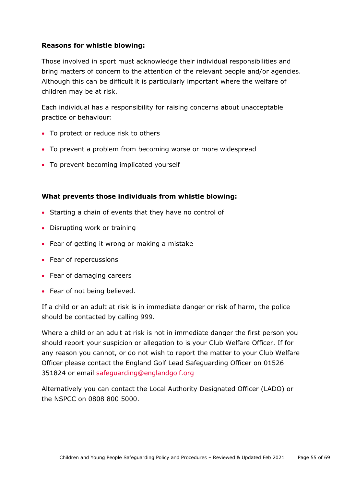### **Reasons for whistle blowing:**

Those involved in sport must acknowledge their individual responsibilities and bring matters of concern to the attention of the relevant people and/or agencies. Although this can be difficult it is particularly important where the welfare of children may be at risk.

Each individual has a responsibility for raising concerns about unacceptable practice or behaviour:

- To protect or reduce risk to others
- To prevent a problem from becoming worse or more widespread
- To prevent becoming implicated yourself

### **What prevents those individuals from whistle blowing:**

- Starting a chain of events that they have no control of
- Disrupting work or training
- Fear of getting it wrong or making a mistake
- Fear of repercussions
- Fear of damaging careers
- Fear of not being believed.

If a child or an adult at risk is in immediate danger or risk of harm, the police should be contacted by calling 999.

Where a child or an adult at risk is not in immediate danger the first person you should report your suspicion or allegation to is your Club Welfare Officer. If for any reason you cannot, or do not wish to report the matter to your Club Welfare Officer please contact the England Golf Lead Safeguarding Officer on 01526 351824 or email [safeguarding@englandgolf.org](mailto:safeguarding@englandgolf.org)

Alternatively you can contact the Local Authority Designated Officer (LADO) or the NSPCC on 0808 800 5000.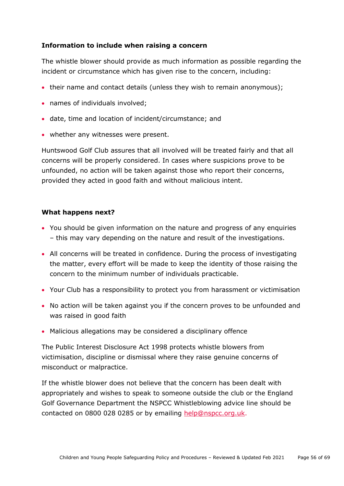### **Information to include when raising a concern**

The whistle blower should provide as much information as possible regarding the incident or circumstance which has given rise to the concern, including:

- their name and contact details (unless they wish to remain anonymous);
- names of individuals involved;
- date, time and location of incident/circumstance; and
- whether any witnesses were present.

Huntswood Golf Club assures that all involved will be treated fairly and that all concerns will be properly considered. In cases where suspicions prove to be unfounded, no action will be taken against those who report their concerns, provided they acted in good faith and without malicious intent.

#### **What happens next?**

- You should be given information on the nature and progress of any enquiries – this may vary depending on the nature and result of the investigations.
- All concerns will be treated in confidence. During the process of investigating the matter, every effort will be made to keep the identity of those raising the concern to the minimum number of individuals practicable.
- Your Club has a responsibility to protect you from harassment or victimisation
- No action will be taken against you if the concern proves to be unfounded and was raised in good faith
- Malicious allegations may be considered a disciplinary offence

The Public Interest Disclosure Act 1998 protects whistle blowers from victimisation, discipline or dismissal where they raise genuine concerns of misconduct or malpractice.

If the whistle blower does not believe that the concern has been dealt with appropriately and wishes to speak to someone outside the club or the England Golf Governance Department the NSPCC Whistleblowing advice line should be contacted on 0800 028 0285 or by emailing [help@nspcc.org.uk.](mailto:help@nspcc.org.uk)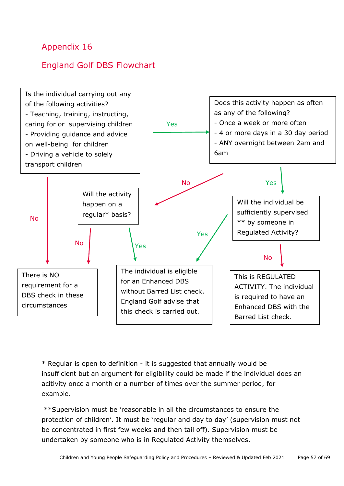### <span id="page-56-0"></span>England Golf DBS Flowchart



\* Regular is open to definition - it is suggested that annually would be insufficient but an argument for eligibility could be made if the individual does an acitivity once a month or a number of times over the summer period, for example.

\*\*Supervision must be 'reasonable in all the circumstances to ensure the protection of children'. It must be 'regular and day to day' (supervision must not be concentrated in first few weeks and then tail off). Supervision must be undertaken by someone who is in Regulated Activity themselves.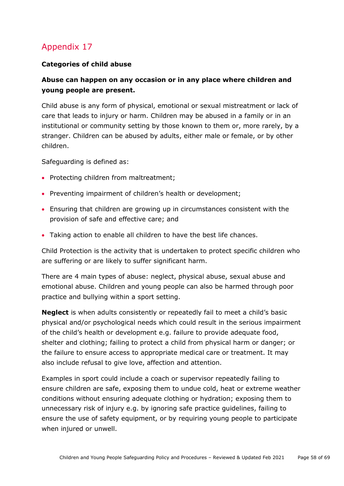### **Categories of child abuse**

### **Abuse can happen on any occasion or in any place where children and young people are present.**

Child abuse is any form of physical, emotional or sexual mistreatment or lack of care that leads to injury or harm. Children may be abused in a family or in an institutional or community setting by those known to them or, more rarely, by a stranger. Children can be abused by adults, either male or female, or by other children.

Safeguarding is defined as:

- Protecting children from maltreatment;
- Preventing impairment of children's health or development;
- Ensuring that children are growing up in circumstances consistent with the provision of safe and effective care; and
- Taking action to enable all children to have the best life chances.

Child Protection is the activity that is undertaken to protect specific children who are suffering or are likely to suffer significant harm.

There are 4 main types of abuse: neglect, physical abuse, sexual abuse and emotional abuse. Children and young people can also be harmed through poor practice and bullying within a sport setting.

**Neglect** is when adults consistently or repeatedly fail to meet a child's basic physical and/or psychological needs which could result in the serious impairment of the child's health or development e.g. failure to provide adequate food, shelter and clothing; failing to protect a child from physical harm or danger; or the failure to ensure access to appropriate medical care or treatment. It may also include refusal to give love, affection and attention.

Examples in sport could include a coach or supervisor repeatedly failing to ensure children are safe, exposing them to undue cold, heat or extreme weather conditions without ensuring adequate clothing or hydration; exposing them to unnecessary risk of injury e.g. by ignoring safe practice guidelines, failing to ensure the use of safety equipment, or by requiring young people to participate when injured or unwell.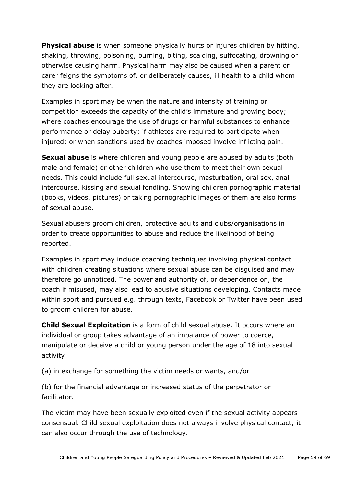**Physical abuse** is when someone physically hurts or injures children by hitting, shaking, throwing, poisoning, burning, biting, scalding, suffocating, drowning or otherwise causing harm. Physical harm may also be caused when a parent or carer feigns the symptoms of, or deliberately causes, ill health to a child whom they are looking after.

Examples in sport may be when the nature and intensity of training or competition exceeds the capacity of the child's immature and growing body; where coaches encourage the use of drugs or harmful substances to enhance performance or delay puberty; if athletes are required to participate when injured; or when sanctions used by coaches imposed involve inflicting pain.

**Sexual abuse** is where children and young people are abused by adults (both male and female) or other children who use them to meet their own sexual needs. This could include full sexual intercourse, masturbation, oral sex, anal intercourse, kissing and sexual fondling. Showing children pornographic material (books, videos, pictures) or taking pornographic images of them are also forms of sexual abuse.

Sexual abusers groom children, protective adults and clubs/organisations in order to create opportunities to abuse and reduce the likelihood of being reported.

Examples in sport may include coaching techniques involving physical contact with children creating situations where sexual abuse can be disguised and may therefore go unnoticed. The power and authority of, or dependence on, the coach if misused, may also lead to abusive situations developing. Contacts made within sport and pursued e.g. through texts, Facebook or Twitter have been used to groom children for abuse.

**Child Sexual Exploitation** is a form of child sexual abuse. It occurs where an individual or group takes advantage of an imbalance of power to coerce, manipulate or deceive a child or young person under the age of 18 into sexual activity

(a) in exchange for something the victim needs or wants, and/or

(b) for the financial advantage or increased status of the perpetrator or facilitator.

The victim may have been sexually exploited even if the sexual activity appears consensual. Child sexual exploitation does not always involve physical contact; it can also occur through the use of technology.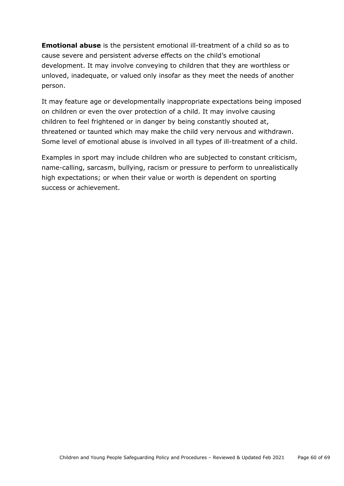**Emotional abuse** is the persistent emotional ill-treatment of a child so as to cause severe and persistent adverse effects on the child's emotional development. It may involve conveying to children that they are worthless or unloved, inadequate, or valued only insofar as they meet the needs of another person.

It may feature age or developmentally inappropriate expectations being imposed on children or even the over protection of a child. It may involve causing children to feel frightened or in danger by being constantly shouted at, threatened or taunted which may make the child very nervous and withdrawn. Some level of emotional abuse is involved in all types of ill-treatment of a child.

<span id="page-59-0"></span>Examples in sport may include children who are subjected to constant criticism, name-calling, sarcasm, bullying, racism or pressure to perform to unrealistically high expectations; or when their value or worth is dependent on sporting success or achievement.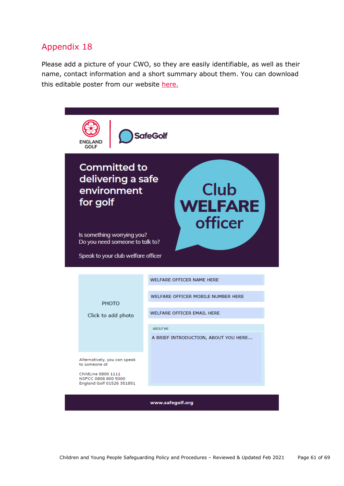Please add a picture of your CWO, so they are easily identifiable, as well as their name, contact information and a short summary about them. You can download this editable poster from our website [here.](https://www.englandgolf.org/download/club-welfare-officer-editable-poster/)

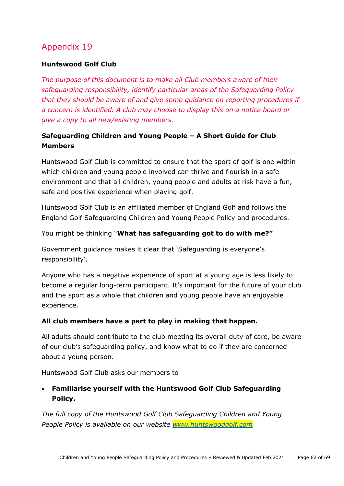### <span id="page-61-0"></span>**Huntswood Golf Club**

*The purpose of this document is to make all Club members aware of their safeguarding responsibility, identify particular areas of the Safeguarding Policy that they should be aware of and give some guidance on reporting procedures if a concern is identified. A club may choose to display this on a notice board or give a copy to all new/existing members.* 

### **Safeguarding Children and Young People – A Short Guide for Club Members**

Huntswood Golf Club is committed to ensure that the sport of golf is one within which children and young people involved can thrive and flourish in a safe environment and that all children, young people and adults at risk have a fun, safe and positive experience when playing golf.

Huntswood Golf Club is an affiliated member of England Golf and follows the England Golf Safeguarding Children and Young People Policy and procedures.

You might be thinking "**What has safeguarding got to do with me?"**

Government guidance makes it clear that 'Safeguarding is everyone's responsibility'.

Anyone who has a negative experience of sport at a young age is less likely to become a regular long-term participant. It's important for the future of your club and the sport as a whole that children and young people have an enjoyable experience.

### **All club members have a part to play in making that happen.**

All adults should contribute to the club meeting its overall duty of care, be aware of our club's safeguarding policy, and know what to do if they are concerned about a young person.

Huntswood Golf Club asks our members to

### **Familiarise yourself with the Huntswood Golf Club Safeguarding Policy.**

*The full copy of the Huntswood Golf Club Safeguarding Children and Young People Policy is available on our website [www.huntswoodgolf.com](http://www.huntswoodgolf.com/)*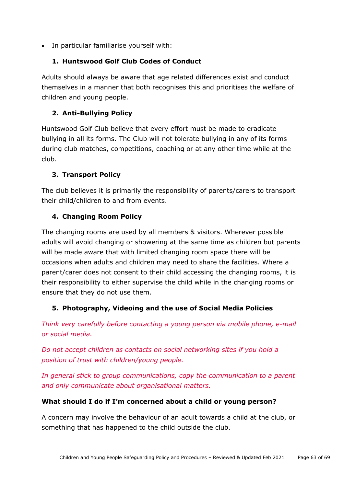In particular familiarise yourself with:

### **1. Huntswood Golf Club Codes of Conduct**

Adults should always be aware that age related differences exist and conduct themselves in a manner that both recognises this and prioritises the welfare of children and young people.

### **2. Anti-Bullying Policy**

Huntswood Golf Club believe that every effort must be made to eradicate bullying in all its forms. The Club will not tolerate bullying in any of its forms during club matches, competitions, coaching or at any other time while at the club.

### **3. Transport Policy**

The club believes it is primarily the responsibility of parents/carers to transport their child/children to and from events.

### **4. Changing Room Policy**

The changing rooms are used by all members & visitors. Wherever possible adults will avoid changing or showering at the same time as children but parents will be made aware that with limited changing room space there will be occasions when adults and children may need to share the facilities. Where a parent/carer does not consent to their child accessing the changing rooms, it is their responsibility to either supervise the child while in the changing rooms or ensure that they do not use them.

#### **5. Photography, Videoing and the use of Social Media Policies**

*Think very carefully before contacting a young person via mobile phone, e-mail or social media.* 

*Do not accept children as contacts on social networking sites if you hold a position of trust with children/young people.*

*In general stick to group communications, copy the communication to a parent and only communicate about organisational matters.*

#### **What should I do if I'm concerned about a child or young person?**

A concern may involve the behaviour of an adult towards a child at the club, or something that has happened to the child outside the club.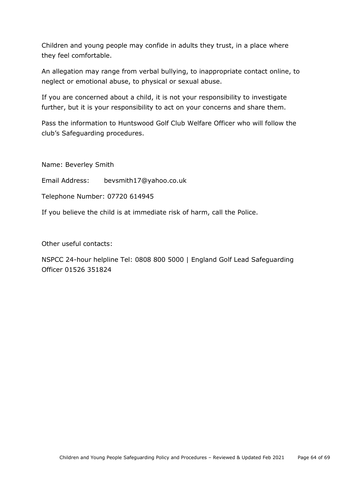Children and young people may confide in adults they trust, in a place where they feel comfortable.

An allegation may range from verbal bullying, to inappropriate contact online, to neglect or emotional abuse, to physical or sexual abuse.

If you are concerned about a child, it is not your responsibility to investigate further, but it is your responsibility to act on your concerns and share them.

Pass the information to Huntswood Golf Club Welfare Officer who will follow the club's Safeguarding procedures.

Name: Beverley Smith

Email Address: bevsmith17@yahoo.co.uk

Telephone Number: 07720 614945

If you believe the child is at immediate risk of harm, call the Police.

Other useful contacts:

<span id="page-63-0"></span>NSPCC 24-hour helpline Tel: 0808 800 5000 | England Golf Lead Safeguarding Officer 01526 351824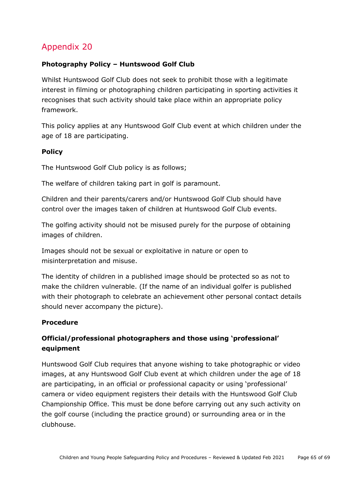### **Photography Policy – Huntswood Golf Club**

Whilst Huntswood Golf Club does not seek to prohibit those with a legitimate interest in filming or photographing children participating in sporting activities it recognises that such activity should take place within an appropriate policy framework.

This policy applies at any Huntswood Golf Club event at which children under the age of 18 are participating.

### **Policy**

The Huntswood Golf Club policy is as follows;

The welfare of children taking part in golf is paramount.

Children and their parents/carers and/or Huntswood Golf Club should have control over the images taken of children at Huntswood Golf Club events.

The golfing activity should not be misused purely for the purpose of obtaining images of children.

Images should not be sexual or exploitative in nature or open to misinterpretation and misuse.

The identity of children in a published image should be protected so as not to make the children vulnerable. (If the name of an individual golfer is published with their photograph to celebrate an achievement other personal contact details should never accompany the picture).

### **Procedure**

### **Official/professional photographers and those using 'professional' equipment**

Huntswood Golf Club requires that anyone wishing to take photographic or video images, at any Huntswood Golf Club event at which children under the age of 18 are participating, in an official or professional capacity or using 'professional' camera or video equipment registers their details with the Huntswood Golf Club Championship Office. This must be done before carrying out any such activity on the golf course (including the practice ground) or surrounding area or in the clubhouse.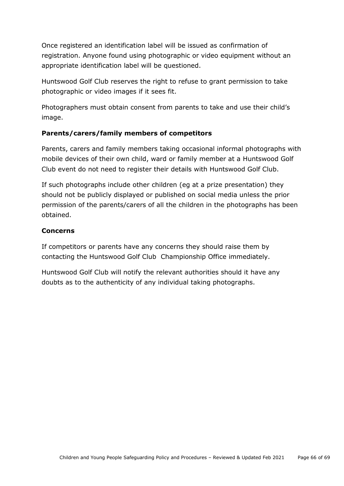Once registered an identification label will be issued as confirmation of registration. Anyone found using photographic or video equipment without an appropriate identification label will be questioned.

Huntswood Golf Club reserves the right to refuse to grant permission to take photographic or video images if it sees fit.

Photographers must obtain consent from parents to take and use their child's image.

### **Parents/carers/family members of competitors**

Parents, carers and family members taking occasional informal photographs with mobile devices of their own child, ward or family member at a Huntswood Golf Club event do not need to register their details with Huntswood Golf Club.

If such photographs include other children (eg at a prize presentation) they should not be publicly displayed or published on social media unless the prior permission of the parents/carers of all the children in the photographs has been obtained.

### **Concerns**

If competitors or parents have any concerns they should raise them by contacting the Huntswood Golf Club Championship Office immediately.

Huntswood Golf Club will notify the relevant authorities should it have any doubts as to the authenticity of any individual taking photographs.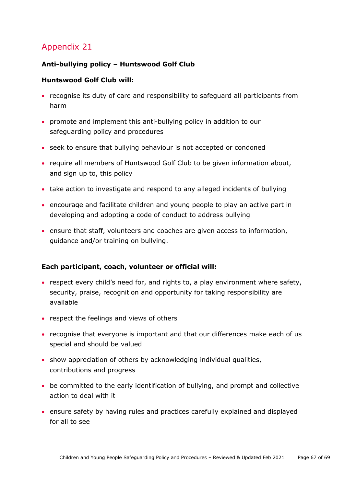### <span id="page-66-0"></span>**Anti-bullying policy – Huntswood Golf Club**

#### **Huntswood Golf Club will:**

- recognise its duty of care and responsibility to safeguard all participants from harm
- promote and implement this anti-bullying policy in addition to our safeguarding policy and procedures
- seek to ensure that bullying behaviour is not accepted or condoned
- require all members of Huntswood Golf Club to be given information about, and sign up to, this policy
- take action to investigate and respond to any alleged incidents of bullying
- encourage and facilitate children and young people to play an active part in developing and adopting a code of conduct to address bullying
- ensure that staff, volunteers and coaches are given access to information, guidance and/or training on bullying.

#### **Each participant, coach, volunteer or official will:**

- respect every child's need for, and rights to, a play environment where safety, security, praise, recognition and opportunity for taking responsibility are available
- respect the feelings and views of others
- recognise that everyone is important and that our differences make each of us special and should be valued
- show appreciation of others by acknowledging individual qualities, contributions and progress
- be committed to the early identification of bullying, and prompt and collective action to deal with it
- ensure safety by having rules and practices carefully explained and displayed for all to see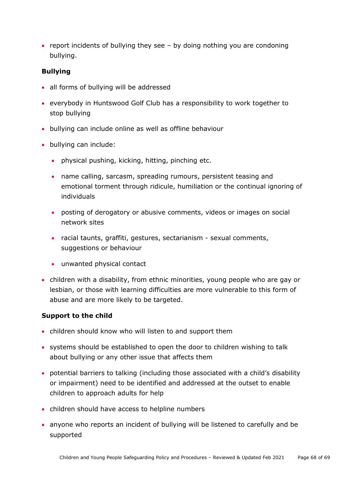• report incidents of bullying they see  $-$  by doing nothing you are condoning bullying.

### **Bullying**

- all forms of bullying will be addressed
- everybody in Huntswood Golf Club has a responsibility to work together to stop bullying
- bullying can include online as well as offline behaviour
- bullying can include:
	- physical pushing, kicking, hitting, pinching etc.
	- name calling, sarcasm, spreading rumours, persistent teasing and emotional torment through ridicule, humiliation or the continual ignoring of individuals
	- posting of derogatory or abusive comments, videos or images on social network sites
	- racial taunts, graffiti, gestures, sectarianism sexual comments, suggestions or behaviour
	- unwanted physical contact
- children with a disability, from ethnic minorities, young people who are gay or lesbian, or those with learning difficulties are more vulnerable to this form of abuse and are more likely to be targeted.

#### **Support to the child**

- children should know who will listen to and support them
- systems should be established to open the door to children wishing to talk about bullying or any other issue that affects them
- potential barriers to talking (including those associated with a child's disability or impairment) need to be identified and addressed at the outset to enable children to approach adults for help
- children should have access to helpline numbers
- anyone who reports an incident of bullying will be listened to carefully and be supported